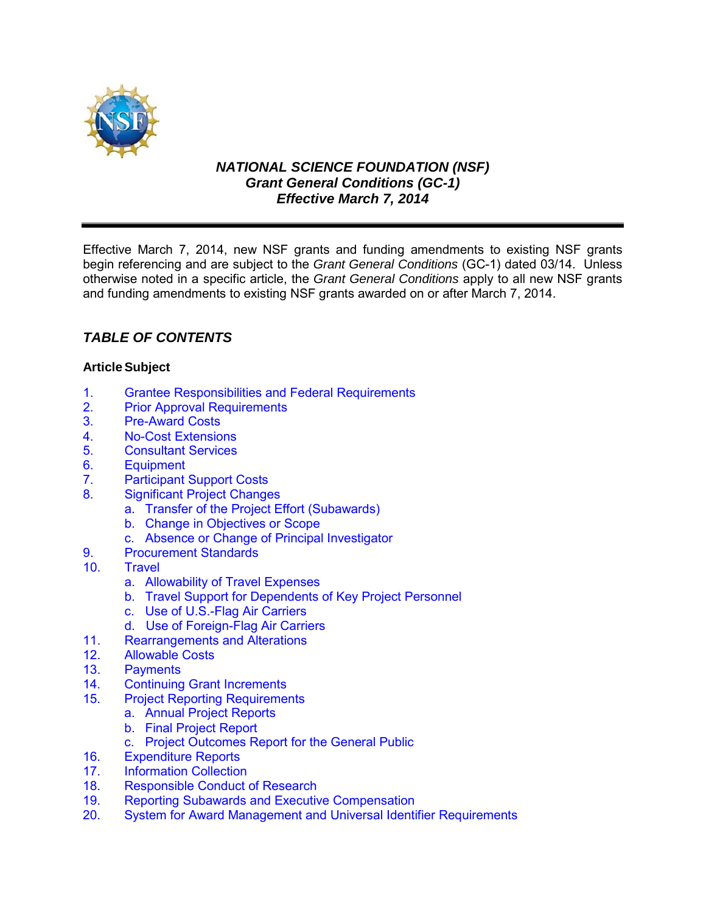

# *NATIONAL SCIENCE FOUNDATION (NSF) Grant General Conditions (GC-1) Effective March 7, 2014*

Effective March 7, 2014, new NSF grants and funding amendments to existing NSF grants begin referencing and are subject to the *Grant General Conditions* (GC-1) dated 03/14. Unless otherwise noted in a specific article, the *Grant General Conditions* apply to all new NSF grants and funding amendments to existing NSF grants awarded on or after March 7, 2014.

# *TABLE OF CONTENTS*

# **ArticleSubject**

- 1. [Grantee Responsibilities and Federal Requirements](#page-1-0)<br>2. Prior Approval Requirements
- **[Prior Approval Requirements](#page-2-0)**
- 3. [Pre-Award Costs](#page-3-0)
- 4. [No-Cost Extensions](#page-3-1)
- 5. [Consultant Services](#page-4-0)
- 6. [Equipment](#page-4-1)
- 7. [Participant Support Costs](#page-6-0)
- 8. [Significant Project Changes](#page-6-1)
	- a. [Transfer of the Project Effort \(Subawards\)](#page-6-2)
	- b. [Change in Objectives or Scope](#page-7-0)
	- c. [Absence or Change of Principal Investigator](#page-7-1)
- 9. [Procurement Standards](#page-7-2)<br>10 Travel
- **[Travel](#page-7-3)** 
	- a. [Allowability of Travel Expenses](#page-7-4)
	- b. [Travel Support for Dependents of Key Project Personnel](#page-7-5)
	- c. [Use of U.S.-Flag Air Carriers](#page-8-0)
	- d. Use of Foreign-Flag Air Carriers
- 11. [Rearrangements and Alterations](#page-10-0)
- 12. [Allowable Costs](#page-10-1)<br>13. Payments
- 13. [Payments](#page-11-0)<br>14. Continuing
- **Continuing Grant Increments**
- 15. [Project Reporting Requirements](#page-11-1)
	- a. [Annual Project Reports](#page-11-2)
		- b. [Final Project Report](#page-12-0)
	- c. Project Outcomes Report for the General Public
- 16. [Expenditure Reports](#page-12-1)
- 17. [Information Collection](#page-13-0)<br>18. Responsible Conduct
- Responsible Conduct of Research
- 19. Reporting Subawards and Executive Compensation
- 20. System for Award Management and Universal Identifier Requirements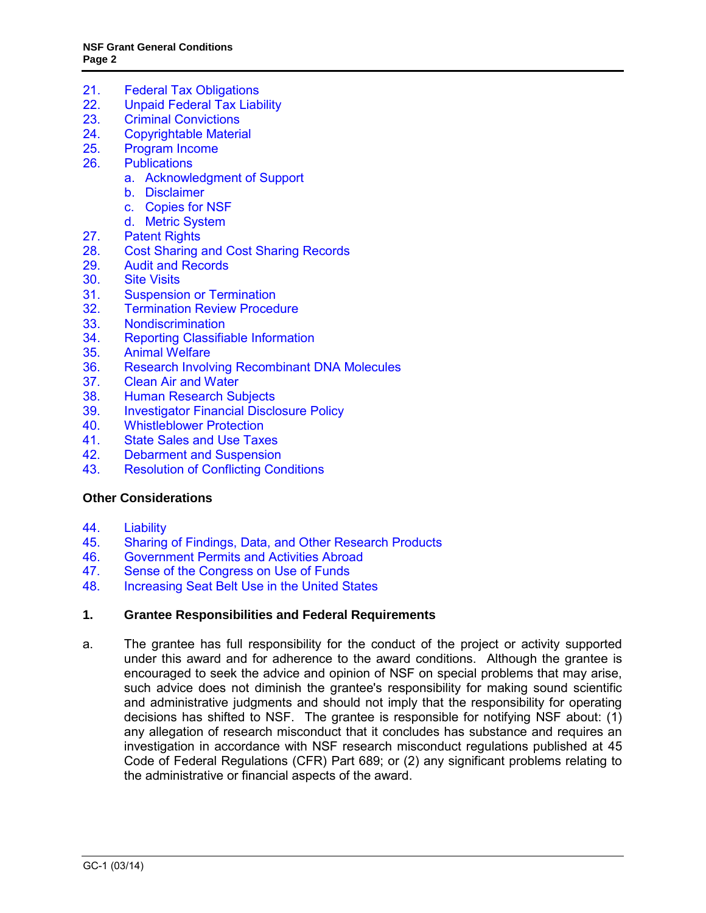- 21. Federal Tax Obligations<br>22. Unpaid Federal Tax Liab
- Unpaid Federal Tax Liability
- 23. Criminal Convictions
- 24. [Copyrightable Material](#page-19-0)
- 25. [Program Income](#page-20-0)
- 26. [Publications](#page-21-0)
	- a. [Acknowledgment of Support](#page-21-1)
	- b. [Disclaimer](#page-21-2)
	- c. [Copies for NSF](#page-21-3)
	- d. [Metric System](#page-21-4)
- 27. [Patent Rights](#page-22-0)
- 28. [Cost Sharing and Cost Sharing Records](#page-27-0)
- 29. [Audit and Records](#page-28-0)
- 30. [Site Visits](#page-29-0)
- 31. [Suspension or Termination](#page-29-1)
- 32. [Termination Review Procedure](#page-30-0)<br>33. Nondiscrimination
- 33. [Nondiscrimination](#page-31-0)<br>34. Reporting Classifia
- [Reporting Classifiable Information](#page-31-1)
- 35. [Animal Welfare](#page-31-2)
- 36. [Research Involving Recombinant DNA Molecules](#page-32-0)
- 37. [Clean Air and Water](#page-32-1)<br>38. Human Research Su
- **[Human Research Subjects](#page-33-0)**
- 39. [Investigator Financial Disclosure Policy](#page-33-1)<br>40. Whistleblower Protection
- 40. [Whistleblower Protection](#page-33-6)
- 41. [State Sales and Use Taxes](#page-33-2)
- 42. [Debarment and Suspension](#page-33-3)
- 43. [Resolution of Conflicting Conditions](#page-33-4)

#### **[Other Considerations](#page-33-5)**

- 44. [Liability](#page-34-0)<br>45. Sharing
- 45. [Sharing of Findings, Data, and Other Research Products](#page-34-1)
- 46. [Government Permits and Activities Abroad](#page-34-2)<br>47. Sense of the Congress on Use of Funds
- [Sense of the Congress on Use of Funds](#page-34-3)
- 48. [Increasing Seat Belt Use in the United States](#page-34-4)

#### <span id="page-1-0"></span>**1. Grantee Responsibilities and Federal Requirements**

a. The grantee has full responsibility for the conduct of the project or activity supported under this award and for adherence to the award conditions. Although the grantee is encouraged to seek the advice and opinion of NSF on special problems that may arise, such advice does not diminish the grantee's responsibility for making sound scientific and administrative judgments and should not imply that the responsibility for operating decisions has shifted to NSF. The grantee is responsible for notifying NSF about: (1) any allegation of research misconduct that it concludes has substance and requires an investigation in accordance with NSF research misconduct regulations published at [45](http://www.access.gpo.gov/nara/cfr/waisidx_06/45cfr689_06.html)  [Code of Federal Regulations \(CFR\) Part 689;](http://www.access.gpo.gov/nara/cfr/waisidx_06/45cfr689_06.html) or (2) any significant problems relating to the administrative or financial aspects of the award.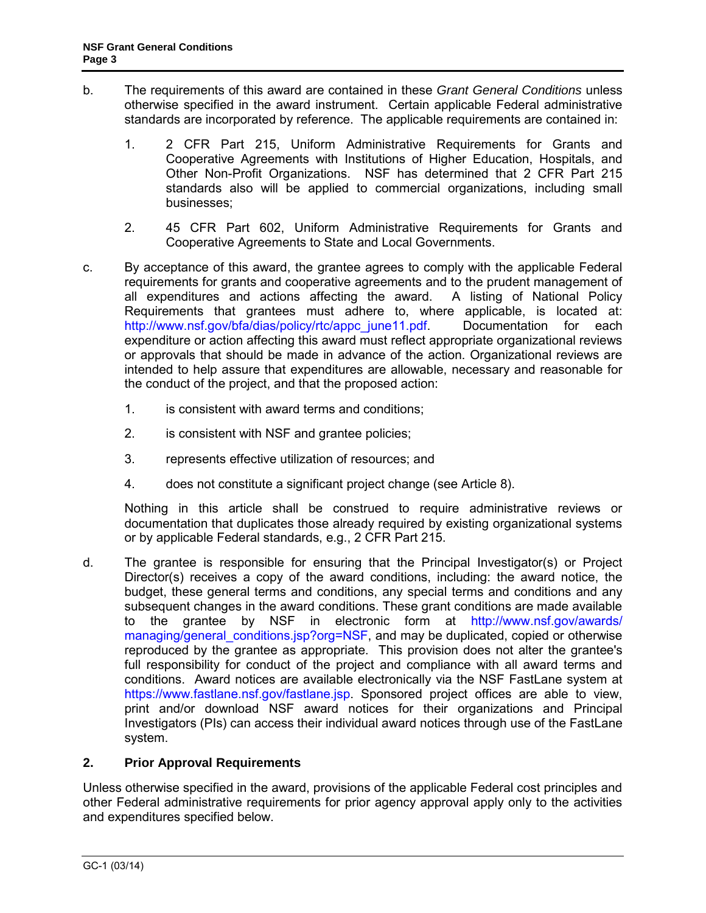- b. The requirements of this award are contained in these *Grant General Conditions* unless otherwise specified in the award instrument. Certain applicable Federal administrative standards are incorporated by reference. The applicable requirements are contained in:
	- 1. [2 CFR Part 215,](http://www.access.gpo.gov/nara/cfr/waisidx_07/2cfr215_07.html) Uniform Administrative Requirements for Grants and Cooperative Agreements with Institutions of Higher Education, Hospitals, and Other Non-Profit Organizations. NSF has determined that 2 CFR Part 215 standards also will be applied to commercial organizations, including small businesses;
	- 2. [45 CFR Part 602,](http://www.access.gpo.gov/nara/cfr/waisidx_06/45cfr602_06.html) Uniform Administrative Requirements for Grants and Cooperative Agreements to State and Local Governments.
- c. By acceptance of this award, the grantee agrees to comply with the applicable Federal requirements for grants and cooperative agreements and to the prudent management of all expenditures and actions affecting the award. A listing of National Policy Requirements that grantees must adhere to, where applicable, is located at: [http://www.nsf.gov/bfa/dias/policy/rtc/appc\\_june11.pdf.](http://www.nsf.gov/bfa/dias/policy/rtc/appc_june11.pdf) Documentation for each expenditure or action affecting this award must reflect appropriate organizational reviews or approvals that should be made in advance of the action. Organizational reviews are intended to help assure that expenditures are allowable, necessary and reasonable for the conduct of the project, and that the proposed action:
	- 1. is consistent with award terms and conditions;
	- 2. is consistent with NSF and grantee policies;
	- 3. represents effective utilization of resources; and
	- 4. does not constitute a significant project change (see [Article 8\)](#page-6-1).

Nothing in this article shall be construed to require administrative reviews or documentation that duplicates those already required by existing organizational systems or by applicable Federal standards, e.g., [2 CFR Part 215.](http://www.access.gpo.gov/nara/cfr/waisidx_07/2cfr215_07.html)

d. The grantee is responsible for ensuring that the Principal Investigator(s) or Project Director(s) receives a copy of the award conditions, including: the award notice, the budget, these general terms and conditions, any special terms and conditions and any subsequent changes in the award conditions. These grant conditions are made available to the grantee by NSF in electronic form at [http://www.nsf.gov/awards/](http://www.nsf.gov/awards/managing/general_conditions.jsp?org=NSF)  [managing/general\\_conditions.jsp?org=NSF,](http://www.nsf.gov/awards/managing/general_conditions.jsp?org=NSF) and may be duplicated, copied or otherwise reproduced by the grantee as appropriate. This provision does not alter the grantee's full responsibility for conduct of the project and compliance with all award terms and conditions. Award notices are available electronically via the NSF FastLane system at [https://www.fastlane.nsf.gov/fastlane.jsp.](https://www.fastlane.nsf.gov/fastlane.jsp) Sponsored project offices are able to view, print and/or download NSF award notices for their organizations and Principal Investigators (PIs) can access their individual award notices through use of the FastLane system.

# <span id="page-2-0"></span>**2. Prior Approval Requirements**

Unless otherwise specified in the award, provisions of the applicable Federal cost principles and other Federal administrative requirements for prior agency approval apply only to the activities and expenditures specified below.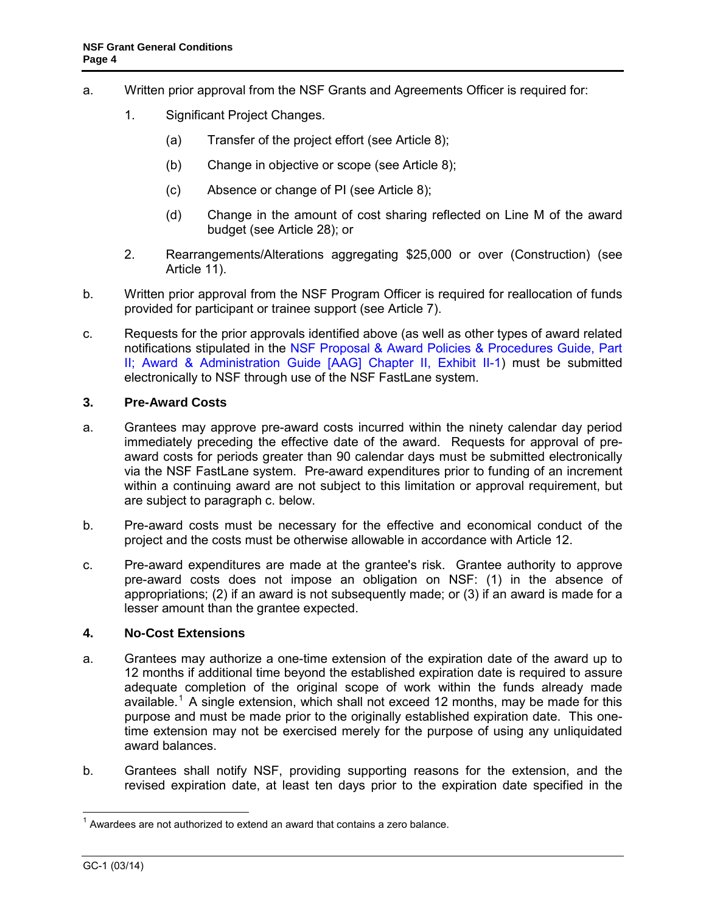- a. Written prior approval from the NSF Grants and Agreements Officer is required for:
	- 1. Significant Project Changes.
		- (a) Transfer of the project effort (see [Article 8\)](#page-6-1);
		- (b) Change in objective or scope (see [Article 8\)](#page-6-1);
		- (c) Absence or change of PI (see [Article 8\)](#page-6-1);
		- (d) Change in the amount of cost sharing reflected on Line M of the award budget (see [Article 2](#page-27-0)8); or
	- 2. Rearrangements/Alterations aggregating \$25,000 or over (Construction) (see [Article 11\)](#page-10-0).
- b. Written prior approval from the NSF Program Officer is required for reallocation of funds provided for participant or trainee support (see [Article 7\)](#page-6-0).
- c. Requests for the prior approvals identified above (as well as other types of award related notifications stipulated in the NSF Proposal & Award Policies & Procedures Guide, Part [II; Award & Administration Guide \[AAG\] Chapter II, Exhibit II-1\)](http://www.nsf.gov/pubs/policydocs/pappguide/nsf14001/aag_2ex1.pdf) must be submitted electronically to NSF through use of the NSF FastLane system.

# <span id="page-3-0"></span>**3. Pre-Award Costs**

- a. Grantees may approve pre-award costs incurred within the ninety calendar day period immediately preceding the effective date of the award. Requests for approval of preaward costs for periods greater than 90 calendar days must be submitted electronically via the NSF FastLane system. Pre-award expenditures prior to funding of an increment within a continuing award are not subject to this limitation or approval requirement, but are subject to paragraph c. below.
- b. Pre-award costs must be necessary for the effective and economical conduct of the project and the costs must be otherwise allowable in accordance with [Article 12.](#page-10-1)
- c. Pre-award expenditures are made at the grantee's risk. Grantee authority to approve pre-award costs does not impose an obligation on NSF: (1) in the absence of appropriations; (2) if an award is not subsequently made; or (3) if an award is made for a lesser amount than the grantee expected.

#### <span id="page-3-1"></span>**4. No-Cost Extensions**

- a. Grantees may authorize a one-time extension of the expiration date of the award up to 12 months if additional time beyond the established expiration date is required to assure adequate completion of the original scope of work within the funds already made available.<sup>[1](#page-3-2)</sup> A single extension, which shall not exceed 12 months, may be made for this purpose and must be made prior to the originally established expiration date. This onetime extension may not be exercised merely for the purpose of using any unliquidated award balances.
- b. Grantees shall notify NSF, providing supporting reasons for the extension, and the revised expiration date, at least ten days prior to the expiration date specified in the

<span id="page-3-2"></span> $\overline{a}$  $1$  Awardees are not authorized to extend an award that contains a zero balance.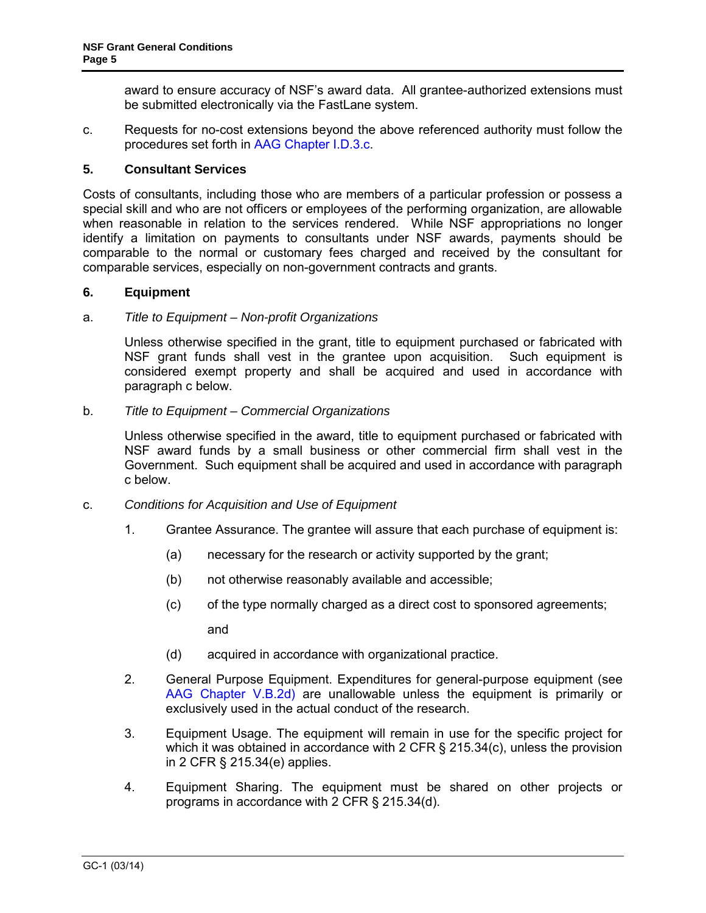award to ensure accuracy of NSF's award data. All grantee-authorized extensions must be submitted electronically via the FastLane system.

c. Requests for no-cost extensions beyond the above referenced authority must follow the procedures set forth in [AAG Chapter I.D.3.c.](http://www.nsf.gov/pubs/policydocs/pappguide/nsf14001/aag_1.jsp#ID3c)

### <span id="page-4-0"></span>**5. Consultant Services**

Costs of consultants, including those who are members of a particular profession or possess a special skill and who are not officers or employees of the performing organization, are allowable when reasonable in relation to the services rendered. While NSF appropriations no longer identify a limitation on payments to consultants under NSF awards, payments should be comparable to the normal or customary fees charged and received by the consultant for comparable services, especially on non-government contracts and grants.

### <span id="page-4-1"></span>**6. Equipment**

#### a. *Title to Equipment – Non-profit Organizations*

Unless otherwise specified in the grant, title to equipment purchased or fabricated with NSF grant funds shall vest in the grantee upon acquisition. Such equipment is considered exempt property and shall be acquired and used in accordance with [paragraph c](#page-4-2) below.

#### b. *Title to Equipment – Commercial Organizations*

Unless otherwise specified in the award, title to equipment purchased or fabricated with NSF award funds by a small business or other commercial firm shall vest in the Government. Such equipment shall be acquired and used in accordance with [paragraph](#page-4-2)  [c](#page-4-2) below.

- <span id="page-4-2"></span>c. *Conditions for Acquisition and Use of Equipment*
	- 1. Grantee Assurance. The grantee will assure that each purchase of equipment is:
		- (a) necessary for the research or activity supported by the grant;
		- (b) not otherwise reasonably available and accessible;
		- (c) of the type normally charged as a direct cost to sponsored agreements;

and

- (d) acquired in accordance with organizational practice.
- 2. General Purpose Equipment. Expenditures for general-purpose equipment (see [AAG Chapter V.B.2d\)](http://www.nsf.gov/pubs/policydocs/pappguide/nsf14001/aag_5.jsp#VB2d) are unallowable unless the equipment is primarily or exclusively used in the actual conduct of the research.
- 3. Equipment Usage. The equipment will remain in use for the specific project for which it was obtained in accordance with [2 CFR § 215.34\(c\),](http://a257.g.akamaitech.net/7/257/2422/15mar20071500/edocket.access.gpo.gov/cfr_2007/janqtr/pdf/2cfr215.34.pdf) unless the provision in [2 CFR § 215.34\(e\)](http://a257.g.akamaitech.net/7/257/2422/15mar20071500/edocket.access.gpo.gov/cfr_2007/janqtr/pdf/2cfr215.34.pdf) applies.
- 4. Equipment Sharing. The equipment must be shared on other projects or programs in accordance with [2 CFR § 215.34\(d\).](http://a257.g.akamaitech.net/7/257/2422/15mar20071500/edocket.access.gpo.gov/cfr_2007/janqtr/pdf/2cfr215.34.pdf)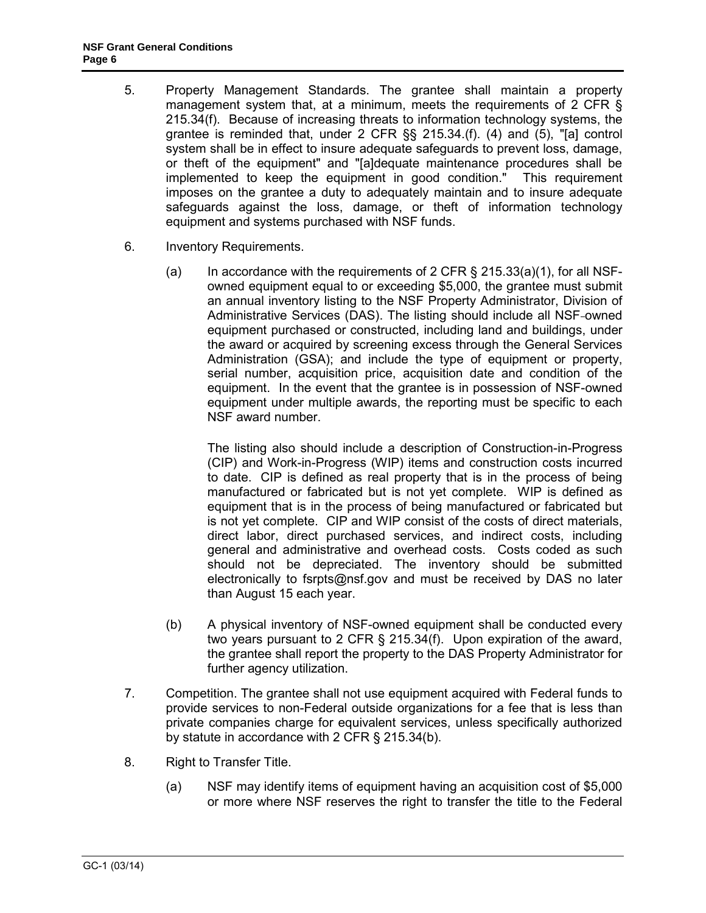- 5. Property Management Standards. The grantee shall maintain a property management system that, at a minimum, meets the requirements of [2 CFR §](http://a257.g.akamaitech.net/7/257/2422/15mar20071500/edocket.access.gpo.gov/cfr_2007/janqtr/pdf/2cfr215.34.pdf)  [215.34\(f\).](http://a257.g.akamaitech.net/7/257/2422/15mar20071500/edocket.access.gpo.gov/cfr_2007/janqtr/pdf/2cfr215.34.pdf) Because of increasing threats to information technology systems, the grantee is reminded that, under [2 CFR §§ 215.34.\(f\). \(4\) and \(5\)](http://a257.g.akamaitech.net/7/257/2422/15mar20071500/edocket.access.gpo.gov/cfr_2007/janqtr/pdf/2cfr215.34.pdf), "[a] control system shall be in effect to insure adequate safeguards to prevent loss, damage, or theft of the equipment" and "[a]dequate maintenance procedures shall be implemented to keep the equipment in good condition." This requirement imposes on the grantee a duty to adequately maintain and to insure adequate safeguards against the loss, damage, or theft of information technology equipment and systems purchased with NSF funds.
- 6. Inventory Requirements.
	- (a) In accordance with the requirements of 2 CFR  $\S$  215.33(a)(1), for all NSFowned equipment equal to or exceeding \$5,000, the grantee must submit an annual inventory listing to the NSF Property Administrator, Division of Administrative Services (DAS). The listing should include all NSF-owned equipment purchased or constructed, including land and buildings, under the award or acquired by screening excess through the General Services Administration (GSA); and include the type of equipment or property, serial number, acquisition price, acquisition date and condition of the equipment. In the event that the grantee is in possession of NSF-owned equipment under multiple awards, the reporting must be specific to each NSF award number.

The listing also should include a description of Construction-in-Progress (CIP) and Work-in-Progress (WIP) items and construction costs incurred to date. CIP is defined as real property that is in the process of being manufactured or fabricated but is not yet complete. WIP is defined as equipment that is in the process of being manufactured or fabricated but is not yet complete. CIP and WIP consist of the costs of direct materials, direct labor, direct purchased services, and indirect costs, including general and administrative and overhead costs. Costs coded as such should not be depreciated. The inventory should be submitted electronically to [fsrpts@nsf.gov](mailto:fsrpts@nsf.gov) and must be received by DAS no later than August 15 each year.

- (b) A physical inventory of NSF-owned equipment shall be conducted every two years pursuant to [2 CFR § 215.34\(f\).](http://a257.g.akamaitech.net/7/257/2422/15mar20071500/edocket.access.gpo.gov/cfr_2007/janqtr/pdf/2cfr215.34.pdf) Upon expiration of the award, the grantee shall report the property to the DAS Property Administrator for further agency utilization.
- 7. Competition. The grantee shall not use equipment acquired with Federal funds to provide services to non-Federal outside organizations for a fee that is less than private companies charge for equivalent services, unless specifically authorized by statute in accordance with [2 CFR § 215.34\(b\).](http://a257.g.akamaitech.net/7/257/2422/15mar20071500/edocket.access.gpo.gov/cfr_2007/janqtr/pdf/2cfr215.34.pdf)
- 8. Right to Transfer Title.
	- (a) NSF may identify items of equipment having an acquisition cost of \$5,000 or more where NSF reserves the right to transfer the title to the Federal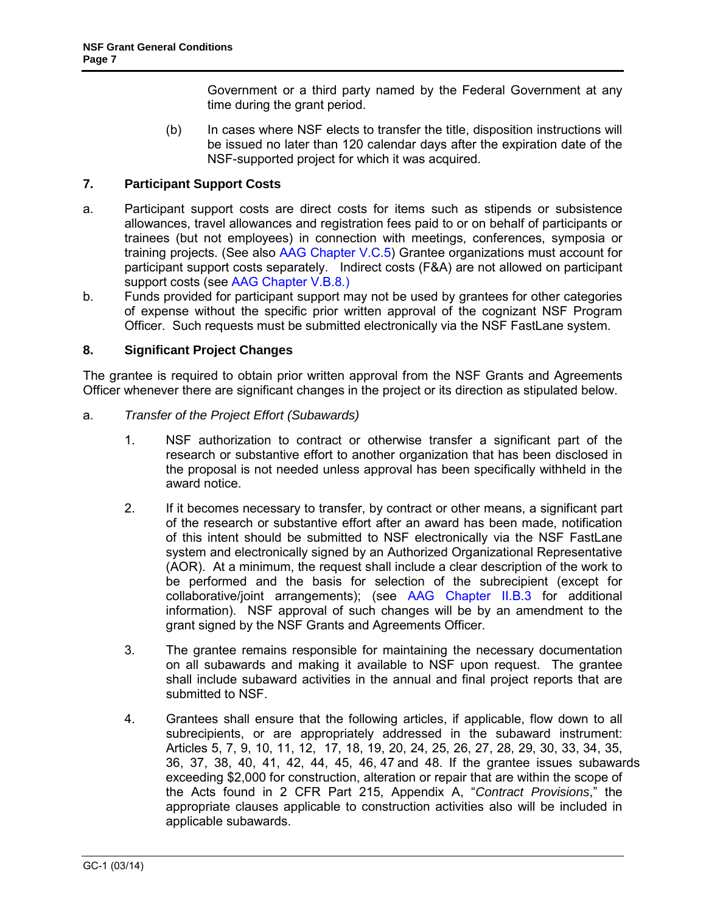Government or a third party named by the Federal Government at any time during the grant period.

(b) In cases where NSF elects to transfer the title, disposition instructions will be issued no later than 120 calendar days after the expiration date of the NSF-supported project for which it was acquired.

# <span id="page-6-0"></span>**7. Participant Support Costs**

- a. Participant support costs are direct costs for items such as stipends or subsistence allowances, travel allowances and registration fees paid to or on behalf of participants or trainees (but not employees) in connection with meetings, conferences, symposia or training projects. (See also [AAG Chapter V.C.5\)](http://www.nsf.gov/pubs/policydocs/pappguide/nsf14001/aag_5.jsp#VC5) Grantee organizations must account for participant support costs separately. Indirect costs (F&A) are not allowed on participant support costs (see [AAG Chapter V.B.](http://www.nsf.gov/pubs/policydocs/pappguide/nsf14001/aag_5.jsp#VD1b)8.)
- b. Funds provided for participant support may not be used by grantees for other categories of expense without the specific prior written approval of the cognizant NSF Program Officer. Such requests must be submitted electronically via the NSF FastLane system.

# <span id="page-6-1"></span>**8. Significant Project Changes**

The grantee is required to obtain prior written approval from the NSF Grants and Agreements Officer whenever there are significant changes in the project or its direction as stipulated below.

- <span id="page-6-2"></span>a. *Transfer of the Project Effort (Subawards)*
	- 1. NSF authorization to contract or otherwise transfer a significant part of the research or substantive effort to another organization that has been disclosed in the proposal is not needed unless approval has been specifically withheld in the award notice.
	- 2. If it becomes necessary to transfer, by contract or other means, a significant part of the research or substantive effort after an award has been made, notification of this intent should be submitted to NSF electronically via the NSF FastLane system and electronically signed by an Authorized Organizational Representative (AOR). At a minimum, the request shall include a clear description of the work to be performed and the basis for selection of the subrecipient (except for collaborative/joint arrangements); (see [AAG Chapter II.B.3](http://www.nsf.gov/pubs/policydocs/pappguide/nsf14001/aag_2.jsp#IIB3) for additional information). NSF approval of such changes will be by an amendment to the grant signed by the NSF Grants and Agreements Officer.
	- 3. The grantee remains responsible for maintaining the necessary documentation on all subawards and making it available to NSF upon request. The grantee shall include subaward activities in the annual and final project reports that are submitted to NSF.
	- 4. Grantees shall ensure that the following articles, if applicable, flow down to all subrecipients, or are appropriately addressed in the subaward instrument: Articles 5, 7, 9, 10, 11, 12, 17, 18, 19, 20, 24, 25, 26, 27, 28, 29, 30, 33, 34, 35, 36, 37, 38, 40, 41, 42, 44, 45, 46, 47 and 48. If the grantee issues subawards exceeding \$2,000 for construction, alteration or repair that are within the scope of the Acts found in 2 [CFR Part 215, Appendix A, "](http://www.access.gpo.gov/nara/cfr/waisidx_07/2cfr215_07.html)*Contract Provisions*," the appropriate clauses applicable to construction activities also will be included in applicable subawards.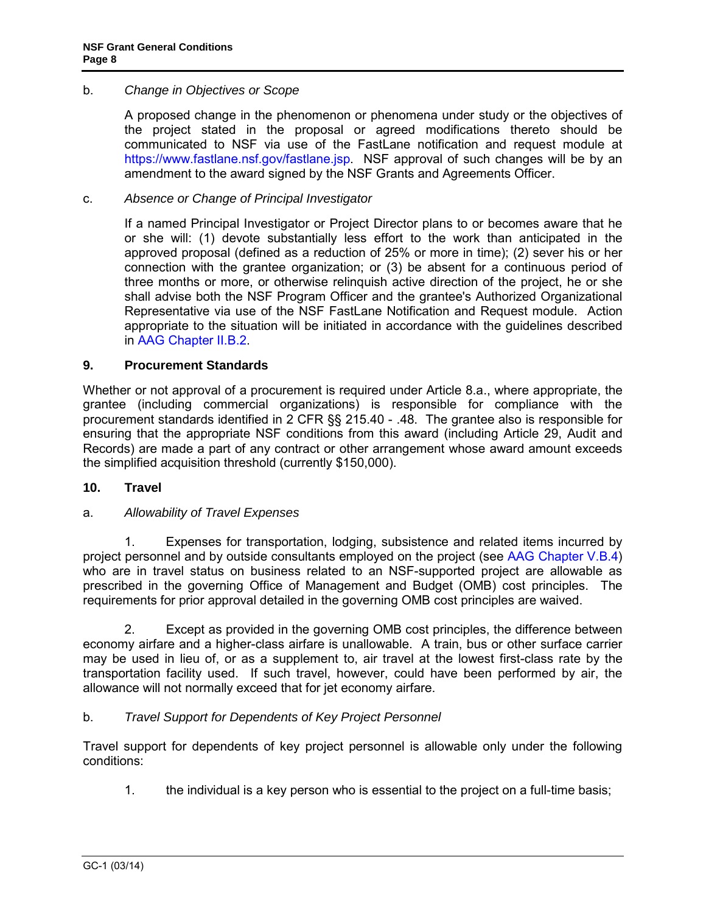### <span id="page-7-0"></span>b. *Change in Objectives or Scope*

A proposed change in the phenomenon or phenomena under study or the objectives of the project stated in the proposal or agreed modifications thereto should be communicated to NSF via use of the FastLane notification and request module at [https://www.fastlane.nsf.gov/fastlane.jsp.](https://www.fastlane.nsf.gov/fastlane.jsp) NSF approval of such changes will be by an amendment to the award signed by the NSF Grants and Agreements Officer.

### <span id="page-7-1"></span>c. *Absence or Change of Principal Investigator*

If a named Principal Investigator or Project Director plans to or becomes aware that he or she will: (1) devote substantially less effort to the work than anticipated in the approved proposal (defined as a reduction of 25% or more in time); (2) sever his or her connection with the grantee organization; or (3) be absent for a continuous period of three months or more, or otherwise relinquish active direction of the project, he or she shall advise both the NSF Program Officer and the grantee's Authorized Organizational Representative via use of the NSF FastLane Notification and Request module. Action appropriate to the situation will be initiated in accordance with the guidelines described in [AAG Chapter II.B.2.](http://www.nsf.gov/pubs/policydocs/pappguide/nsf14001/aag_2.jsp#IIB2)

#### <span id="page-7-2"></span>**9. Procurement Standards**

Whether or not approval of a procurement is required under [Article 8.a.](#page-6-2), where appropriate, the grantee (including commercial organizations) is responsible for compliance with the procurement standards identified in [2 CFR §§ 215.40 - .48.](http://www.access.gpo.gov/nara/cfr/waisidx_07/2cfr215_07.html) The grantee also is responsible for ensuring that the appropriate NSF conditions from this award (including [Article 29](#page-28-0), Audit and Records) are made a part of any contract or other arrangement whose award amount exceeds the simplified acquisition threshold (currently \$150,000).

#### <span id="page-7-3"></span>**10. Travel**

# <span id="page-7-4"></span>a. *Allowability of Travel Expenses*

 1. Expenses for transportation, lodging, subsistence and related items incurred by project personnel and by outside consultants employed on the project (see [AAG Chapter V.B.4\)](http://www.nsf.gov/pubs/policydocs/pappguide/nsf14001/aag_5.jsp#VB4) who are in travel status on business related to an NSF-supported project are allowable as prescribed in the governing Office of Management and Budget (OMB) cost principles. The requirements for prior approval detailed in the governing OMB cost principles are waived.

 2. Except as provided in the governing OMB cost principles, the difference between economy airfare and a higher-class airfare is unallowable. A train, bus or other surface carrier may be used in lieu of, or as a supplement to, air travel at the lowest first-class rate by the transportation facility used. If such travel, however, could have been performed by air, the allowance will not normally exceed that for jet economy airfare.

# <span id="page-7-5"></span>b. *Travel Support for Dependents of Key Project Personnel*

Travel support for dependents of key project personnel is allowable only under the following conditions:

1. the individual is a key person who is essential to the project on a full-time basis;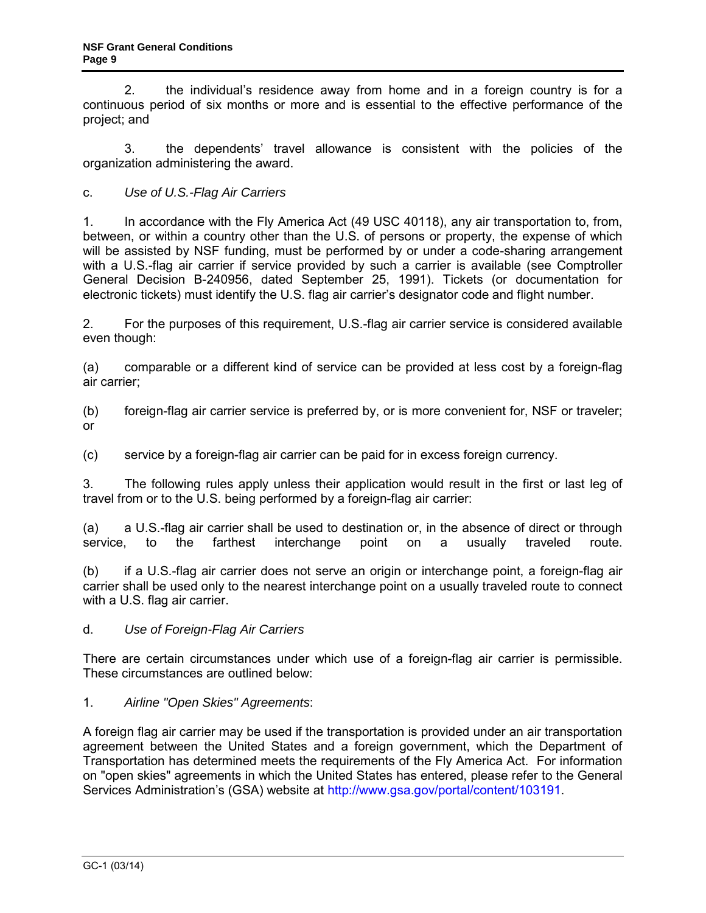2. the individual's residence away from home and in a foreign country is for a continuous period of six months or more and is essential to the effective performance of the project; and

 3. the dependents' travel allowance is consistent with the policies of the organization administering the award.

<span id="page-8-0"></span>c. *Use of U.S.-Flag Air Carriers*

1. In accordance with the Fly America Act (49 USC 40118), any air transportation to, from, between, or within a country other than the U.S. of persons or property, the expense of which will be assisted by NSF funding, must be performed by or under a code-sharing arrangement with a U.S.-flag air carrier if service provided by such a carrier is available (see Comptroller General Decision B-240956, dated September 25, 1991). Tickets (or documentation for electronic tickets) must identify the U.S. flag air carrier's designator code and flight number.

2. For the purposes of this requirement, U.S.-flag air carrier service is considered available even though:

(a) comparable or a different kind of service can be provided at less cost by a foreign-flag air carrier;

(b) foreign-flag air carrier service is preferred by, or is more convenient for, NSF or traveler; or

(c) service by a foreign-flag air carrier can be paid for in excess foreign currency.

3. The following rules apply unless their application would result in the first or last leg of travel from or to the U.S. being performed by a foreign-flag air carrier:

(a) a U.S.-flag air carrier shall be used to destination or, in the absence of direct or through service, to the farthest interchange point on a usually traveled route.

(b) if a U.S.-flag air carrier does not serve an origin or interchange point, a foreign-flag air carrier shall be used only to the nearest interchange point on a usually traveled route to connect with a U.S. flag air carrier.

d. *Use of Foreign-Flag Air Carriers*

There are certain circumstances under which use of a foreign-flag air carrier is permissible. These circumstances are outlined below:

# 1. *Airline "Open Skies" Agreements*:

A foreign flag air carrier may be used if the transportation is provided under an air transportation agreement between the United States and a foreign government, which the Department of Transportation has determined meets the requirements of the Fly America Act. For information on "open skies" agreements in which the United States has entered, please refer to the General Services Administration's (GSA) website at [http://www.gsa.gov/portal/content/103191.](http://www.gsa.gov/portal/content/103191)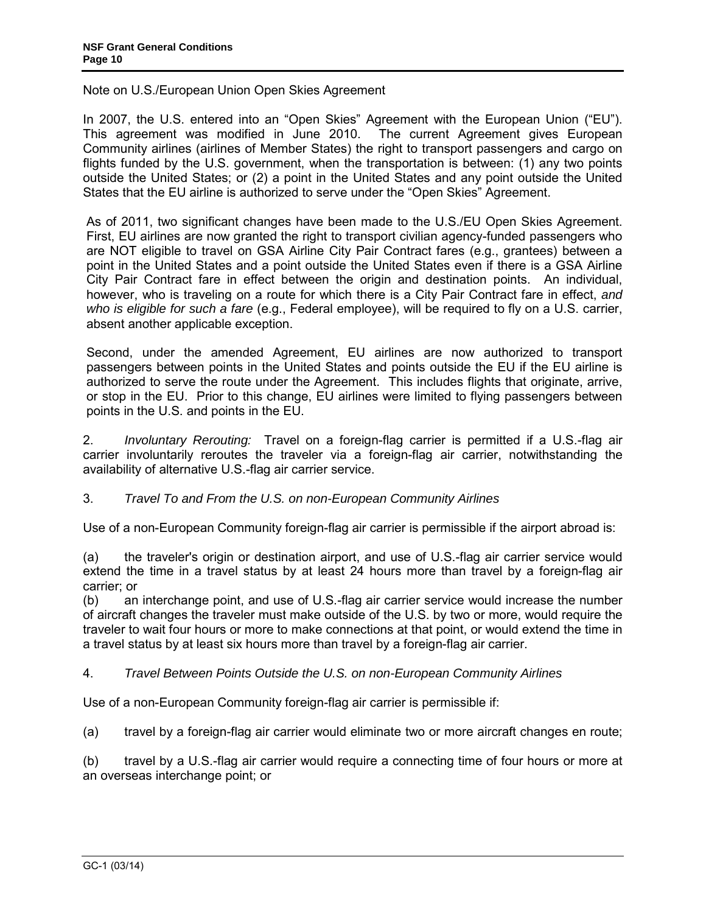Note on U.S./European Union Open Skies Agreement

In 2007, the U.S. entered into an "Open Skies" Agreement with the European Union ("EU"). This agreement was modified in June 2010. The current Agreement gives European Community airlines (airlines of Member States) the right to transport passengers and cargo on flights funded by the U.S. government, when the transportation is between: (1) any two points outside the United States; or (2) a point in the United States and any point outside the United States that the EU airline is authorized to serve under the "Open Skies" Agreement.

As of 2011, two significant changes have been made to the U.S./EU Open Skies Agreement. First, EU airlines are now granted the right to transport civilian agency-funded passengers who are NOT eligible to travel on GSA Airline City Pair Contract fares (e.g., grantees) between a point in the United States and a point outside the United States even if there is a GSA Airline City Pair Contract fare in effect between the origin and destination points. An individual, however, who is traveling on a route for which there is a City Pair Contract fare in effect, *and who is eligible for such a fare* (e.g., Federal employee), will be required to fly on a U.S. carrier, absent another applicable exception.

Second, under the amended Agreement, EU airlines are now authorized to transport passengers between points in the United States and points outside the EU if the EU airline is authorized to serve the route under the Agreement. This includes flights that originate, arrive, or stop in the EU. Prior to this change, EU airlines were limited to flying passengers between points in the U.S. and points in the EU.

2. *Involuntary Rerouting:* Travel on a foreign-flag carrier is permitted if a U.S.-flag air carrier involuntarily reroutes the traveler via a foreign-flag air carrier, notwithstanding the availability of alternative U.S.-flag air carrier service.

# 3. *Travel To and From the U.S. on non-European Community Airlines*

Use of a non-European Community foreign-flag air carrier is permissible if the airport abroad is:

(a) the traveler's origin or destination airport, and use of U.S.-flag air carrier service would extend the time in a travel status by at least 24 hours more than travel by a foreign-flag air carrier; or

(b) an interchange point, and use of U.S.-flag air carrier service would increase the number of aircraft changes the traveler must make outside of the U.S. by two or more, would require the traveler to wait four hours or more to make connections at that point, or would extend the time in a travel status by at least six hours more than travel by a foreign-flag air carrier.

# 4. *Travel Between Points Outside the U.S. on non-European Community Airlines*

Use of a non-European Community foreign-flag air carrier is permissible if:

(a) travel by a foreign-flag air carrier would eliminate two or more aircraft changes en route;

(b) travel by a U.S.-flag air carrier would require a connecting time of four hours or more at an overseas interchange point; or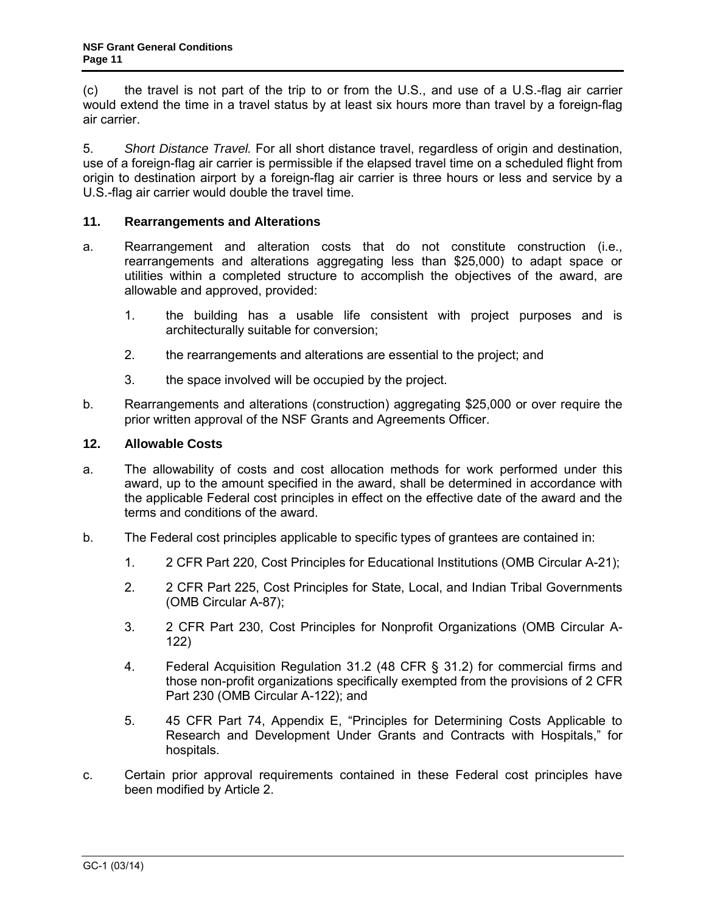(c) the travel is not part of the trip to or from the U.S., and use of a U.S.-flag air carrier would extend the time in a travel status by at least six hours more than travel by a foreign-flag air carrier.

5. *Short Distance Travel.* For all short distance travel, regardless of origin and destination, use of a foreign-flag air carrier is permissible if the elapsed travel time on a scheduled flight from origin to destination airport by a foreign-flag air carrier is three hours or less and service by a U.S.-flag air carrier would double the travel time.

### <span id="page-10-0"></span>**11. Rearrangements and Alterations**

- a. Rearrangement and alteration costs that do not constitute construction (i.e., rearrangements and alterations aggregating less than \$25,000) to adapt space or utilities within a completed structure to accomplish the objectives of the award, are allowable and approved, provided:
	- 1. the building has a usable life consistent with project purposes and is architecturally suitable for conversion;
	- 2. the rearrangements and alterations are essential to the project; and
	- 3. the space involved will be occupied by the project.
- b. Rearrangements and alterations (construction) aggregating \$25,000 or over require the prior written approval of the NSF Grants and Agreements Officer.

### <span id="page-10-1"></span>**12. Allowable Costs**

- a. The allowability of costs and cost allocation methods for work performed under this award, up to the amount specified in the award, shall be determined in accordance with the applicable Federal cost principles in effect on the effective date of the award and the terms and conditions of the award.
- <span id="page-10-2"></span>b. The Federal cost principles applicable to specific types of grantees are contained in:
	- 1. [2 CFR Part 220,](http://www.access.gpo.gov/nara/cfr/waisidx_07/2cfr220_07.html) Cost Principles for Educational Institutions [\(OMB Circular A-21\)](http://www.whitehouse.gov/omb/circulars/a021/a021.html);
	- 2. [2 CFR Part 225,](http://www.access.gpo.gov/nara/cfr/waisidx_07/2cfr225_07.html) Cost Principles for State, Local, and Indian Tribal Governments (OMB Circular A-87);
	- 3. [2 CFR Part 230,](http://www.access.gpo.gov/nara/cfr/waisidx_07/2cfr230_07.html) Cost Principles for Nonprofit Organizations (OMB Circular A-122)
	- 4. [Federal Acquisition Regulation 31.2 \(48 CFR § 31.2\)](http://www.access.gpo.gov/nara/cfr/waisidx_06/48cfr31_06.html) for commercial firms and those non-profit organizations specifically exempted from the provisions of [2 CFR](http://www.whitehouse.gov/omb/fedreg/2005/083105_a122.pdf)  [Part 230](http://www.whitehouse.gov/omb/fedreg/2005/083105_a122.pdf) (OMB Circular A-122); and
	- 5. [45 CFR Part 74, Appendix E,](http://a257.g.akamaitech.net/7/257/2422/13nov20061500/edocket.access.gpo.gov/cfr_2006/octqtr/pdf/45cfr74.91.pdf) "Principles for Determining Costs Applicable to Research and Development Under Grants and Contracts with Hospitals," for hospitals.
- c. Certain prior approval requirements contained in these Federal cost principles have been modified by [Article 2.](#page-2-0)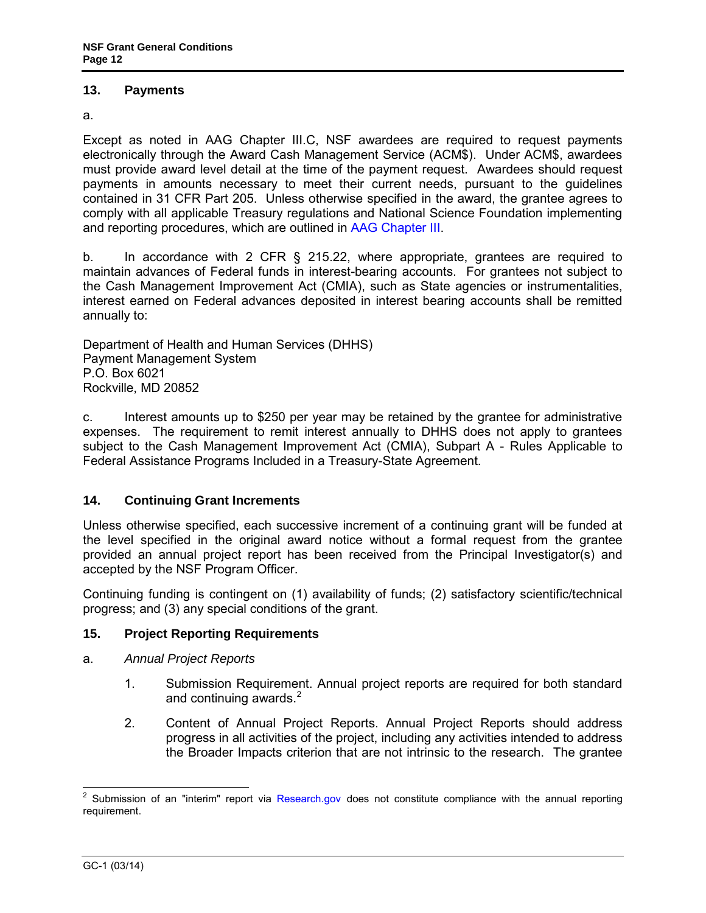### <span id="page-11-0"></span>**13. Payments**

a.

Except as noted in AAG Chapter III.C, NSF awardees are required to request payments electronically through the Award Cash Management Service (ACM\$). Under ACM\$, awardees must provide award level detail at the time of the payment request. Awardees should request payments in amounts necessary to meet their current needs, pursuant to the guidelines contained in [31 CFR Part 205.](http://www.access.gpo.gov/nara/cfr/waisidx_06/31cfr205_06.html) Unless otherwise specified in the award, the grantee agrees to comply with all applicable Treasury regulations and National Science Foundation implementing and reporting procedures, which are outlined in [AAG Chapter III.](http://www.nsf.gov/pubs/policydocs/pappguide/nsf14001/aag_3.jsp)

b. In accordance with [2 CFR § 215.22,](http://www.access.gpo.gov/nara/cfr/waisidx_06/31cfr205_06.html) where appropriate, grantees are required to maintain advances of Federal funds in interest-bearing accounts. For grantees not subject to the Cash Management Improvement Act (CMIA), such as State agencies or instrumentalities, interest earned on Federal advances deposited in interest bearing accounts shall be remitted annually to:

Department of Health and Human Services (DHHS) Payment Management System P.O. Box 6021 Rockville, MD 20852

c. Interest amounts up to \$250 per year may be retained by the grantee for administrative expenses. The requirement to remit interest annually to DHHS does not apply to grantees subject to the Cash Management Improvement Act (CMIA), Subpart A - Rules Applicable to Federal Assistance Programs Included in a Treasury-State Agreement.

# **14. Continuing Grant Increments**

Unless otherwise specified, each successive increment of a continuing grant will be funded at the level specified in the original award notice without a formal request from the grantee provided an annual project report has been received from the Principal Investigator(s) and accepted by the NSF Program Officer.

Continuing funding is contingent on (1) availability of funds; (2) satisfactory scientific/technical progress; and (3) any special conditions of the grant.

# <span id="page-11-1"></span>**15. Project Reporting Requirements**

- <span id="page-11-2"></span>a. *Annual Project Reports*
	- 1. Submission Requirement. Annual project reports are required for both standard and continuing awards. $2^2$  $2^2$
	- 2. Content of Annual Project Reports. Annual Project Reports should address progress in all activities of the project, including any activities intended to address the Broader Impacts criterion that are not intrinsic to the research. The grantee

<span id="page-11-3"></span> $\overline{a}$  $2$  Submission of an "interim" report via [Research.gov](http://www.research.gov/) does not constitute compliance with the annual reporting requirement.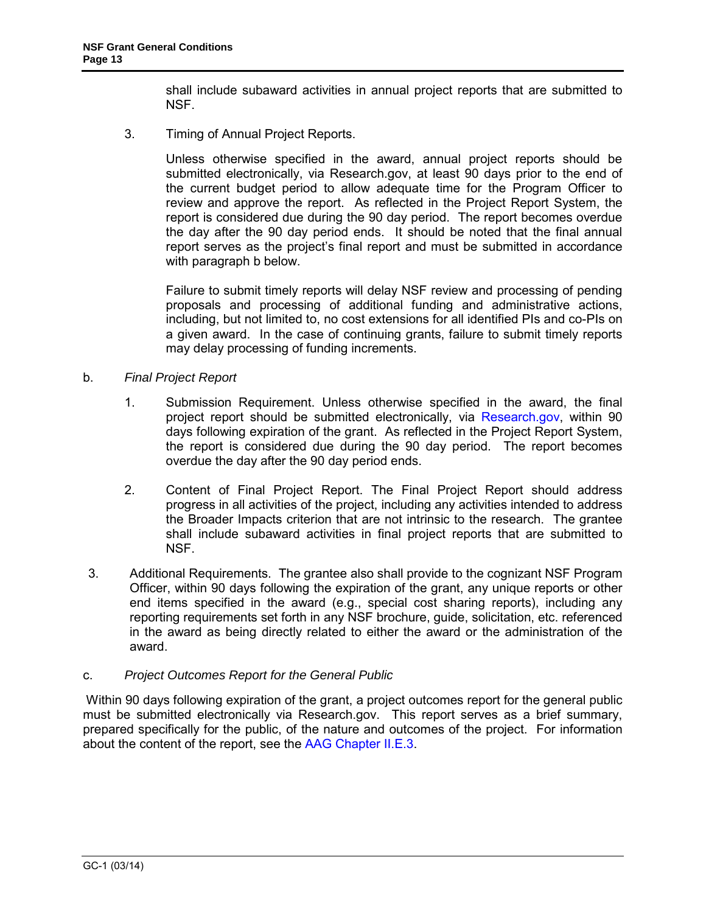shall include subaward activities in annual project reports that are submitted to NSF.

3. Timing of Annual Project Reports.

Unless otherwise specified in the award, annual project reports should be submitted electronically, via Research.gov, at least 90 days prior to the end of the current budget period to allow adequate time for the Program Officer to review and approve the report. As reflected in the Project Report System, the report is considered due during the 90 day period. The report becomes overdue the day after the 90 day period ends. It should be noted that the final annual report serves as the project's final report and must be submitted in accordance with paragraph b below.

Failure to submit timely reports will delay NSF review and processing of pending proposals and processing of additional funding and administrative actions, including, but not limited to, no cost extensions for all identified PIs and co-PIs on a given award. In the case of continuing grants, failure to submit timely reports may delay processing of funding increments.

- <span id="page-12-0"></span>b. *Final Project Report*
	- 1. Submission Requirement. Unless otherwise specified in the award, the final project report should be submitted electronically, via [Research.gov,](http://www.research.gov/) within 90 days following expiration of the grant. As reflected in the Project Report System, the report is considered due during the 90 day period. The report becomes overdue the day after the 90 day period ends.
	- 2. Content of Final Project Report. The Final Project Report should address progress in all activities of the project, including any activities intended to address the Broader Impacts criterion that are not intrinsic to the research. The grantee shall include subaward activities in final project reports that are submitted to NSF.
- 3. Additional Requirements. The grantee also shall provide to the cognizant NSF Program Officer, within 90 days following the expiration of the grant, any unique reports or other end items specified in the award (e.g., special cost sharing reports), including any reporting requirements set forth in any NSF brochure, guide, solicitation, etc. referenced in the award as being directly related to either the award or the administration of the award.

# c. *Project Outcomes Report for the General Public*

<span id="page-12-2"></span><span id="page-12-1"></span>Within 90 days following expiration of the grant, a project outcomes report for the general public must be submitted electronically via Research.gov. This report serves as a brief summary, prepared specifically for the public, of the nature and outcomes of the project. For information about the content of the report, see the [AAG Chapter II.E.3.](http://www.nsf.gov/pubs/policydocs/pappguide/nsf14001/aag_2.jsp#IIE)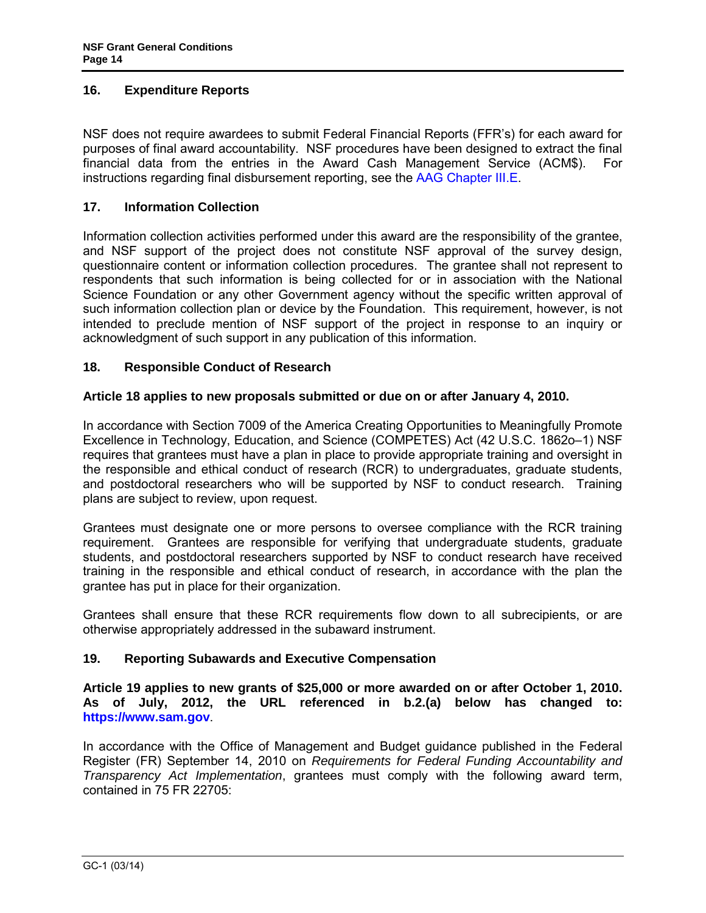### **16. Expenditure Reports**

NSF does not require awardees to submit Federal Financial Reports (FFR's) for each award for purposes of final award accountability. NSF procedures have been designed to extract the final financial data from the entries in the Award Cash Management Service (ACM\$). For instructions regarding final disbursement reporting, see the [AAG Chapter III.E.](http://www.nsf.gov/pubs/policydocs/pappguide/nsf14001/aag_3.jsp#IIIE)

### <span id="page-13-0"></span>**17. Information Collection**

Information collection activities performed under this award are the responsibility of the grantee, and NSF support of the project does not constitute NSF approval of the survey design, questionnaire content or information collection procedures. The grantee shall not represent to respondents that such information is being collected for or in association with the National Science Foundation or any other Government agency without the specific written approval of such information collection plan or device by the Foundation. This requirement, however, is not intended to preclude mention of NSF support of the project in response to an inquiry or acknowledgment of such support in any publication of this information.

### **18. Responsible Conduct of Research**

### **Article 18 applies to new proposals submitted or due on or after January 4, 2010.**

In accordance with Section 7009 of the America Creating Opportunities to Meaningfully Promote Excellence in Technology, Education, and Science (COMPETES) Act (42 U.S.C. 1862o–1) NSF requires that grantees must have a plan in place to provide appropriate training and oversight in the responsible and ethical conduct of research (RCR) to undergraduates, graduate students, and postdoctoral researchers who will be supported by NSF to conduct research. Training plans are subject to review, upon request.

Grantees must designate one or more persons to oversee compliance with the RCR training requirement. Grantees are responsible for verifying that undergraduate students, graduate students, and postdoctoral researchers supported by NSF to conduct research have received training in the responsible and ethical conduct of research, in accordance with the plan the grantee has put in place for their organization.

Grantees shall ensure that these RCR requirements flow down to all subrecipients, or are otherwise appropriately addressed in the subaward instrument.

### **19. Reporting Subawards and Executive Compensation**

**Article 19 applies to new grants of \$25,000 or more awarded on or after October 1, 2010. As of July, 2012, the URL referenced in b.2.(a) below has changed to: [https://www.sam.gov](https://www.sam.gov/)**.

In accordance with the Office of Management and Budget guidance published in the Federal Register (FR) September 14, 2010 on *Requirements for Federal Funding Accountability and Transparency Act Implementation*, grantees must comply with the following award term, contained in 75 FR 22705: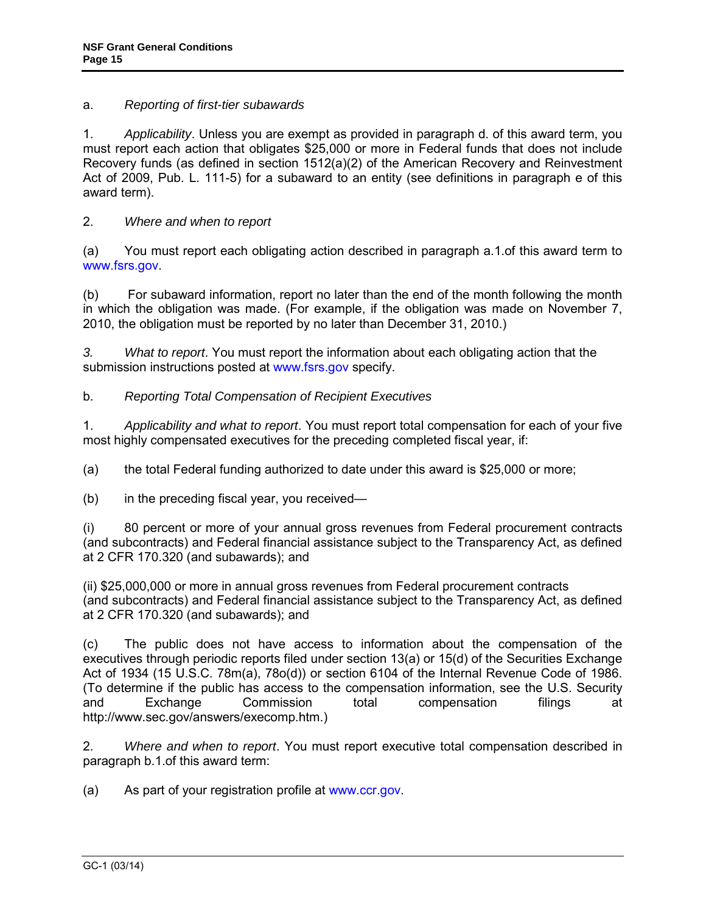# a. *Reporting of first-tier subawards*

1. *Applicability*. Unless you are exempt as provided in paragraph d. of this award term, you must report each action that obligates \$25,000 or more in Federal funds that does not include Recovery funds (as defined in section 1512(a)(2) of the American Recovery and Reinvestment Act of 2009, Pub. L. 111-5) for a subaward to an entity (see definitions in paragraph e of this award term).

# 2. *Where and when to report*

(a) You must report each obligating action described in paragraph a.1.of this award term to [www.fsrs.gov.](http://www.fsrs.gov/)

(b) For subaward information, report no later than the end of the month following the month in which the obligation was made. (For example, if the obligation was made on November 7, 2010, the obligation must be reported by no later than December 31, 2010.)

*3. What to report*. You must report the information about each obligating action that the submission instructions posted at [www.fsrs.gov](http://www.fsrs.gov/) specify.

# b. *Reporting Total Compensation of Recipient Executives*

1. *Applicability and what to report*. You must report total compensation for each of your five most highly compensated executives for the preceding completed fiscal year, if:

(a) the total Federal funding authorized to date under this award is \$25,000 or more;

(b) in the preceding fiscal year, you received—

(i) 80 percent or more of your annual gross revenues from Federal procurement contracts (and subcontracts) and Federal financial assistance subject to the Transparency Act, as defined at 2 CFR 170.320 (and subawards); and

(ii) \$25,000,000 or more in annual gross revenues from Federal procurement contracts (and subcontracts) and Federal financial assistance subject to the Transparency Act, as defined at 2 CFR 170.320 (and subawards); and

(c) The public does not have access to information about the compensation of the executives through periodic reports filed under section 13(a) or 15(d) of the Securities Exchange Act of 1934 (15 U.S.C. 78m(a), 78o(d)) or section 6104 of the Internal Revenue Code of 1986. (To determine if the public has access to the compensation information, see the U.S. Security and Exchange Commission total compensation filings at http://www.sec.gov/answers/execomp.htm.)

2. *Where and when to report*. You must report executive total compensation described in paragraph b.1.of this award term:

(a) As part of your registration profile at [www.ccr.gov.](http://www.ccr.gov/)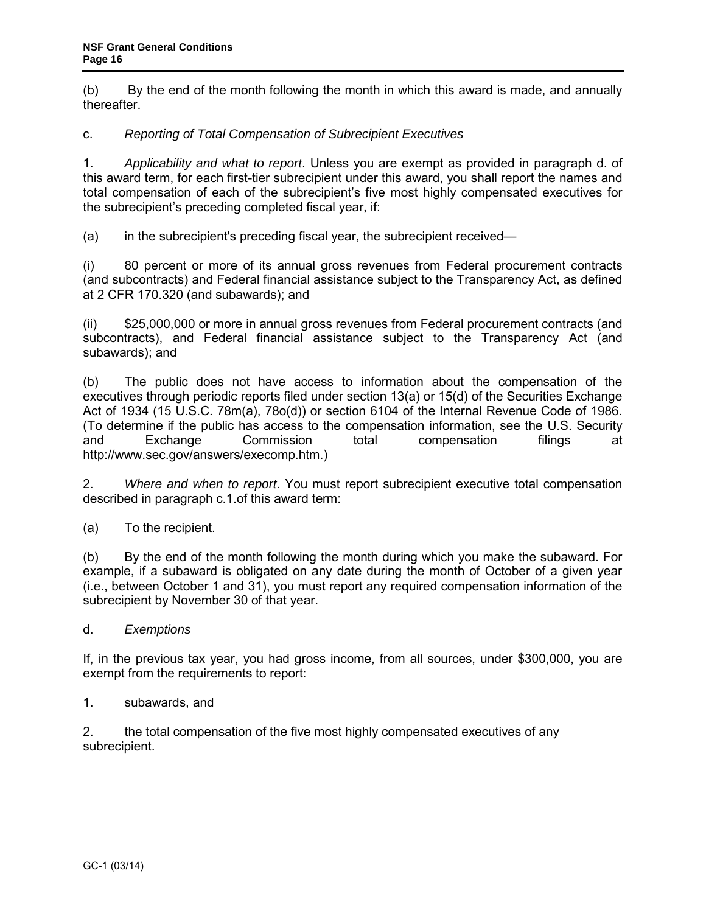(b) By the end of the month following the month in which this award is made, and annually thereafter.

# c. *Reporting of Total Compensation of Subrecipient Executives*

1. *Applicability and what to report*. Unless you are exempt as provided in paragraph d. of this award term, for each first-tier subrecipient under this award, you shall report the names and total compensation of each of the subrecipient's five most highly compensated executives for the subrecipient's preceding completed fiscal year, if:

(a) in the subrecipient's preceding fiscal year, the subrecipient received—

(i) 80 percent or more of its annual gross revenues from Federal procurement contracts (and subcontracts) and Federal financial assistance subject to the Transparency Act, as defined at 2 CFR 170.320 (and subawards); and

(ii) \$25,000,000 or more in annual gross revenues from Federal procurement contracts (and subcontracts), and Federal financial assistance subject to the Transparency Act (and subawards); and

(b) The public does not have access to information about the compensation of the executives through periodic reports filed under section 13(a) or 15(d) of the Securities Exchange Act of 1934 (15 U.S.C. 78m(a), 78o(d)) or section 6104 of the Internal Revenue Code of 1986. (To determine if the public has access to the compensation information, see the U.S. Security and Exchange Commission total compensation filings at http://www.sec.gov/answers/execomp.htm.)

2. *Where and when to report*. You must report subrecipient executive total compensation described in paragraph c.1.of this award term:

(a) To the recipient.

(b) By the end of the month following the month during which you make the subaward. For example, if a subaward is obligated on any date during the month of October of a given year (i.e., between October 1 and 31), you must report any required compensation information of the subrecipient by November 30 of that year.

d. *Exemptions*

If, in the previous tax year, you had gross income, from all sources, under \$300,000, you are exempt from the requirements to report:

1. subawards, and

2. the total compensation of the five most highly compensated executives of any subrecipient.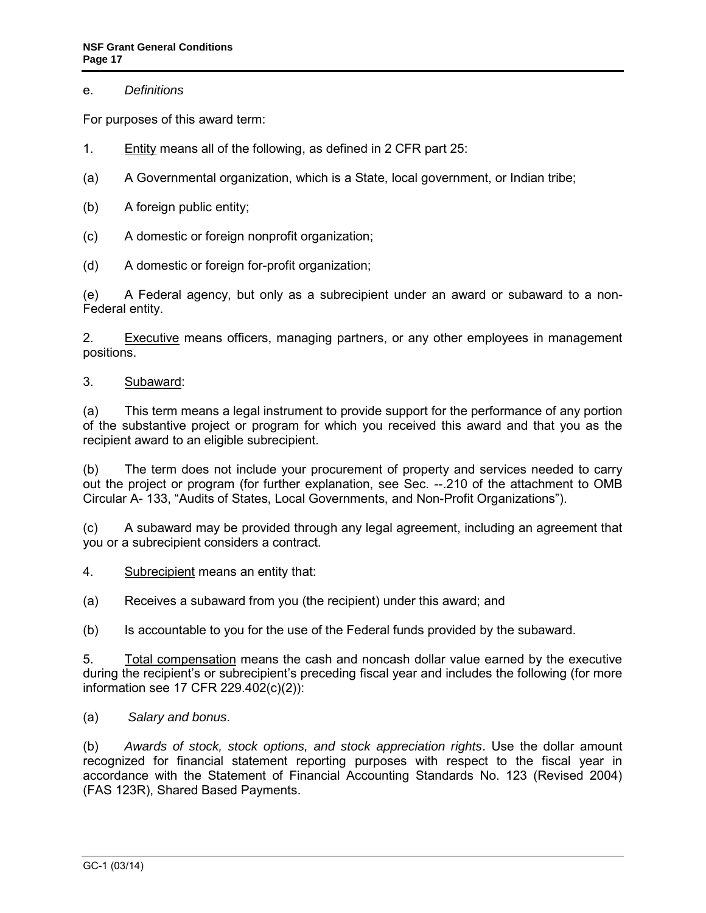### e. *Definitions*

For purposes of this award term:

- 1. Entity means all of the following, as defined in 2 CFR part 25:
- (a) A Governmental organization, which is a State, local government, or Indian tribe;
- (b) A foreign public entity;
- (c) A domestic or foreign nonprofit organization;
- (d) A domestic or foreign for-profit organization;

(e) A Federal agency, but only as a subrecipient under an award or subaward to a non-Federal entity.

2. Executive means officers, managing partners, or any other employees in management positions.

### 3. Subaward:

(a) This term means a legal instrument to provide support for the performance of any portion of the substantive project or program for which you received this award and that you as the recipient award to an eligible subrecipient.

(b) The term does not include your procurement of property and services needed to carry out the project or program (for further explanation, see Sec. --.210 of the attachment to OMB Circular A- 133, "Audits of States, Local Governments, and Non-Profit Organizations").

(c) A subaward may be provided through any legal agreement, including an agreement that you or a subrecipient considers a contract.

4. Subrecipient means an entity that:

(a) Receives a subaward from you (the recipient) under this award; and

(b) Is accountable to you for the use of the Federal funds provided by the subaward.

5. Total compensation means the cash and noncash dollar value earned by the executive during the recipient's or subrecipient's preceding fiscal year and includes the following (for more information see 17 CFR 229.402(c)(2)):

(a) *Salary and bonus*.

(b) *Awards of stock, stock options, and stock appreciation rights*. Use the dollar amount recognized for financial statement reporting purposes with respect to the fiscal year in accordance with the Statement of Financial Accounting Standards No. 123 (Revised 2004) (FAS 123R), Shared Based Payments.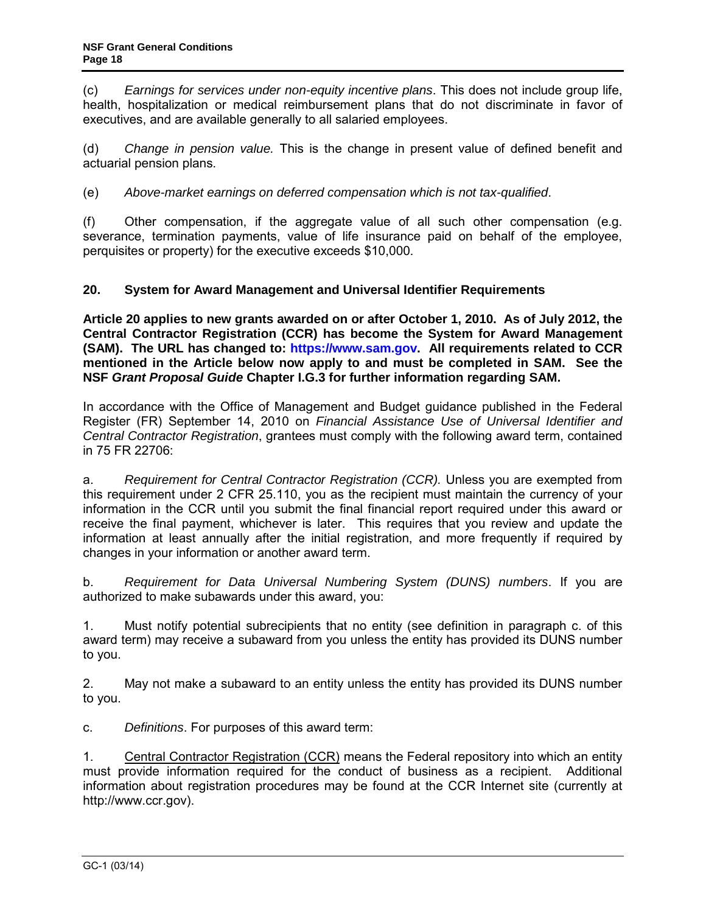(c) *Earnings for services under non-equity incentive plans*. This does not include group life, health, hospitalization or medical reimbursement plans that do not discriminate in favor of executives, and are available generally to all salaried employees.

(d) *Change in pension value.* This is the change in present value of defined benefit and actuarial pension plans.

(e) *Above-market earnings on deferred compensation which is not tax-qualified*.

(f) Other compensation, if the aggregate value of all such other compensation (e.g. severance, termination payments, value of life insurance paid on behalf of the employee, perquisites or property) for the executive exceeds \$10,000.

# **20. System for Award Management and Universal Identifier Requirements**

**Article 20 applies to new grants awarded on or after October 1, 2010. As of July 2012, the Central Contractor Registration (CCR) has become the System for Award Management (SAM). The URL has changed to: [https://www.sam.gov.](https://www.sam.gov/) All requirements related to CCR mentioned in the Article below now apply to and must be completed in SAM. See the NSF** *Grant Proposal Guide* **Chapter I.G.3 for further information regarding SAM.**

In accordance with the Office of Management and Budget guidance published in the Federal Register (FR) September 14, 2010 on *Financial Assistance Use of Universal Identifier and Central Contractor Registration*, grantees must comply with the following award term, contained in 75 FR 22706:

a. *Requirement for Central Contractor Registration (CCR).* Unless you are exempted from this requirement under 2 CFR 25.110, you as the recipient must maintain the currency of your information in the CCR until you submit the final financial report required under this award or receive the final payment, whichever is later. This requires that you review and update the information at least annually after the initial registration, and more frequently if required by changes in your information or another award term.

b. *Requirement for Data Universal Numbering System (DUNS) numbers*. If you are authorized to make subawards under this award, you:

1. Must notify potential subrecipients that no entity (see definition in paragraph c. of this award term) may receive a subaward from you unless the entity has provided its DUNS number to you.

2. May not make a subaward to an entity unless the entity has provided its DUNS number to you.

c. *Definitions*. For purposes of this award term:

1. Central Contractor Registration (CCR) means the Federal repository into which an entity must provide information required for the conduct of business as a recipient. Additional information about registration procedures may be found at the CCR Internet site (currently at http://www.ccr.gov).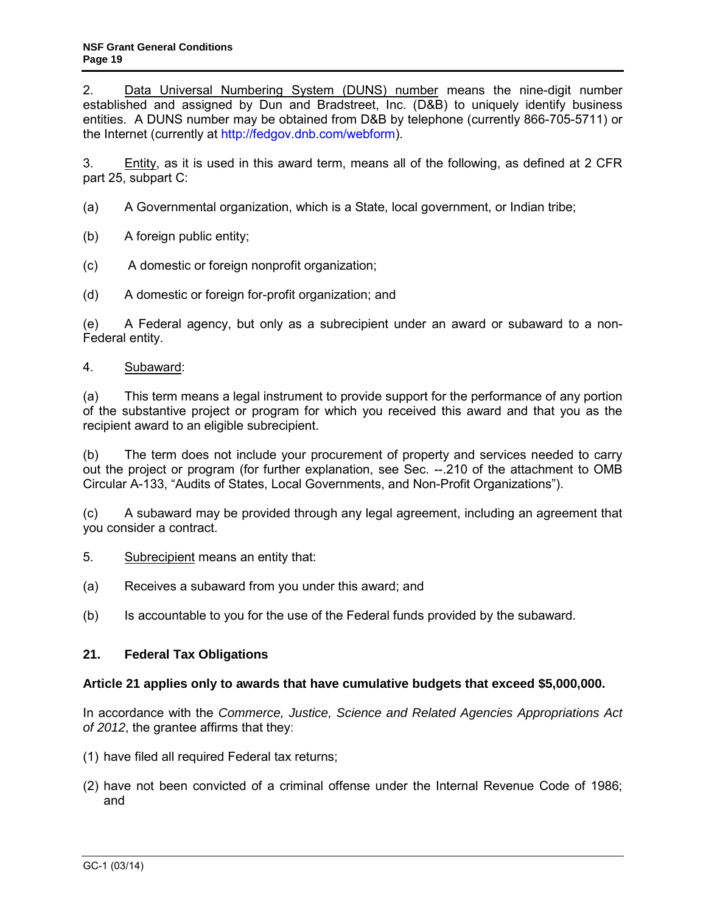2. Data Universal Numbering System (DUNS) number means the nine-digit number established and assigned by Dun and Bradstreet, Inc. (D&B) to uniquely identify business entities. A DUNS number may be obtained from D&B by telephone (currently 866-705-5711) or the Internet (currently at [http://fedgov.dnb.com/webform\)](http://fedgov.dnb.com/webform).

3. Entity, as it is used in this award term, means all of the following, as defined at 2 CFR part 25, subpart C:

- (a) A Governmental organization, which is a State, local government, or Indian tribe;
- (b) A foreign public entity;
- (c) A domestic or foreign nonprofit organization;
- (d) A domestic or foreign for-profit organization; and

(e) A Federal agency, but only as a subrecipient under an award or subaward to a non-Federal entity.

### 4. Subaward:

(a) This term means a legal instrument to provide support for the performance of any portion of the substantive project or program for which you received this award and that you as the recipient award to an eligible subrecipient.

(b) The term does not include your procurement of property and services needed to carry out the project or program (for further explanation, see Sec. --.210 of the attachment to OMB Circular A-133, "Audits of States, Local Governments, and Non-Profit Organizations").

(c) A subaward may be provided through any legal agreement, including an agreement that you consider a contract.

- 5. Subrecipient means an entity that:
- (a) Receives a subaward from you under this award; and
- (b) Is accountable to you for the use of the Federal funds provided by the subaward.

# **21. Federal Tax Obligations**

#### **Article 21 applies only to awards that have cumulative budgets that exceed \$5,000,000.**

In accordance with the *Commerce, Justice, Science and Related Agencies Appropriations Act of 2012*, the grantee affirms that they:

- (1) have filed all required Federal tax returns;
- (2) have not been convicted of a criminal offense under the Internal Revenue Code of 1986; and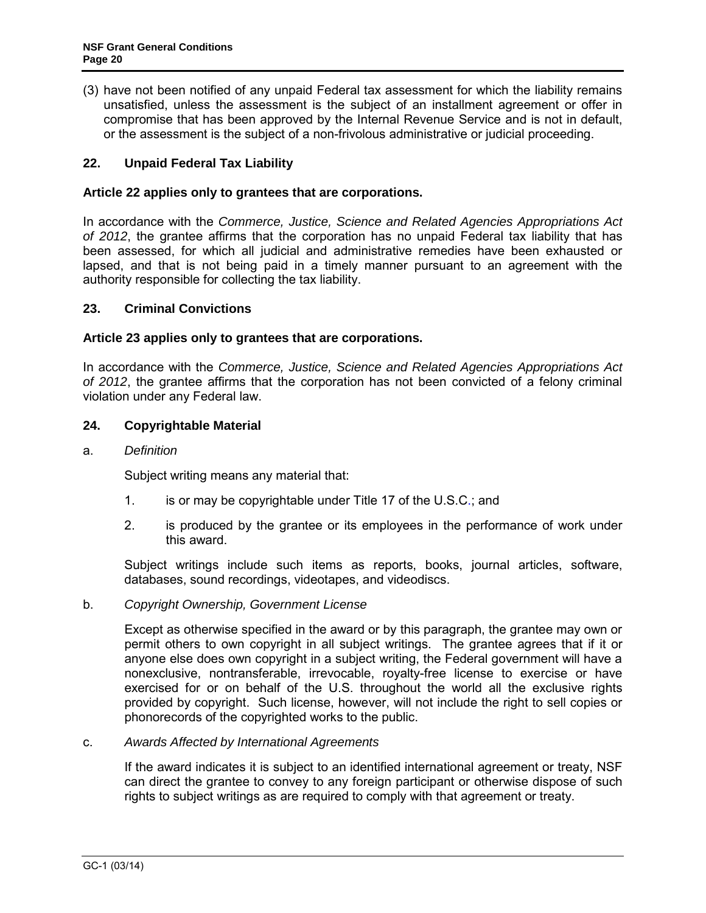(3) have not been notified of any unpaid Federal tax assessment for which the liability remains unsatisfied, unless the assessment is the subject of an installment agreement or offer in compromise that has been approved by the Internal Revenue Service and is not in default, or the assessment is the subject of a non-frivolous administrative or judicial proceeding.

# **22. Unpaid Federal Tax Liability**

### **Article 22 applies only to grantees that are corporations.**

In accordance with the *Commerce, Justice, Science and Related Agencies Appropriations Act of 2012*, the grantee affirms that the corporation has no unpaid Federal tax liability that has been assessed, for which all judicial and administrative remedies have been exhausted or lapsed, and that is not being paid in a timely manner pursuant to an agreement with the authority responsible for collecting the tax liability.

### **23. Criminal Convictions**

### **Article 23 applies only to grantees that are corporations.**

In accordance with the *Commerce, Justice, Science and Related Agencies Appropriations Act of 2012*, the grantee affirms that the corporation has not been convicted of a felony criminal violation under any Federal law.

### <span id="page-19-0"></span>**24. Copyrightable Material**

#### a. *Definition*

Subject writing means any material that:

- 1. is or may be copyrightable under [Title 17 of the U.S.C.](http://www.access.gpo.gov/uscode/title17/title17.html); and
- 2. is produced by the grantee or its employees in the performance of work under this award.

Subject writings include such items as reports, books, journal articles, software, databases, sound recordings, videotapes, and videodiscs.

#### b. *Copyright Ownership, Government License*

Except as otherwise specified in the award or by this paragraph, the grantee may own or permit others to own copyright in all subject writings. The grantee agrees that if it or anyone else does own copyright in a subject writing, the Federal government will have a nonexclusive, nontransferable, irrevocable, royalty-free license to exercise or have exercised for or on behalf of the U.S. throughout the world all the exclusive rights provided by copyright. Such license, however, will not include the right to sell copies or phonorecords of the copyrighted works to the public.

#### c. *Awards Affected by International Agreements*

If the award indicates it is subject to an identified international agreement or treaty, NSF can direct the grantee to convey to any foreign participant or otherwise dispose of such rights to subject writings as are required to comply with that agreement or treaty.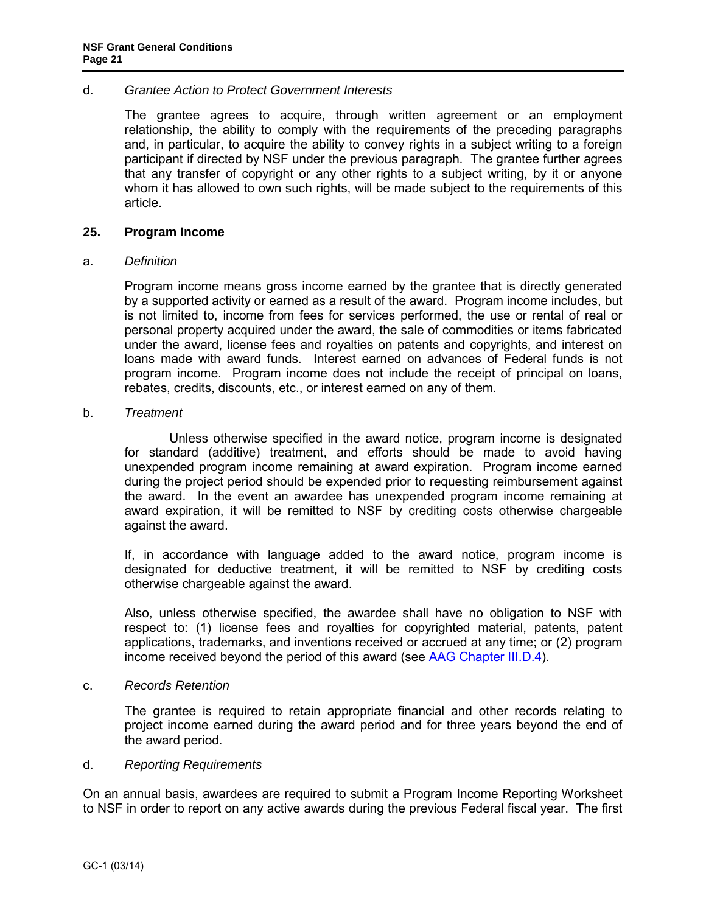#### d. *Grantee Action to Protect Government Interests*

The grantee agrees to acquire, through written agreement or an employment relationship, the ability to comply with the requirements of the preceding paragraphs and, in particular, to acquire the ability to convey rights in a subject writing to a foreign participant if directed by NSF under the previous paragraph. The grantee further agrees that any transfer of copyright or any other rights to a subject writing, by it or anyone whom it has allowed to own such rights, will be made subject to the requirements of this article.

#### <span id="page-20-0"></span>**25. Program Income**

#### a. *Definition*

Program income means gross income earned by the grantee that is directly generated by a supported activity or earned as a result of the award. Program income includes, but is not limited to, income from fees for services performed, the use or rental of real or personal property acquired under the award, the sale of commodities or items fabricated under the award, license fees and royalties on patents and copyrights, and interest on loans made with award funds. Interest earned on advances of Federal funds is not program income. Program income does not include the receipt of principal on loans, rebates, credits, discounts, etc., or interest earned on any of them.

#### b. *Treatment*

 Unless otherwise specified in the award notice, program income is designated for standard (additive) treatment, and efforts should be made to avoid having unexpended program income remaining at award expiration. Program income earned during the project period should be expended prior to requesting reimbursement against the award. In the event an awardee has unexpended program income remaining at award expiration, it will be remitted to NSF by crediting costs otherwise chargeable against the award.

If, in accordance with language added to the award notice, program income is designated for deductive treatment, it will be remitted to NSF by crediting costs otherwise chargeable against the award.

Also, unless otherwise specified, the awardee shall have no obligation to NSF with respect to: (1) license fees and royalties for copyrighted material, patents, patent applications, trademarks, and inventions received or accrued at any time; or (2) program income received beyond the period of this award (see [AAG Chapter III.D.4\)](http://www.nsf.gov/pubs/policydocs/pappguide/nsf14001/aag_3.jsp#IIID4).

#### c. *Records Retention*

The grantee is required to retain appropriate financial and other records relating to project income earned during the award period and for three years beyond the end of the award period.

#### d. *Reporting Requirements*

On an annual basis, awardees are required to submit a Program Income Reporting Worksheet to NSF in order to report on any active awards during the previous Federal fiscal year. The first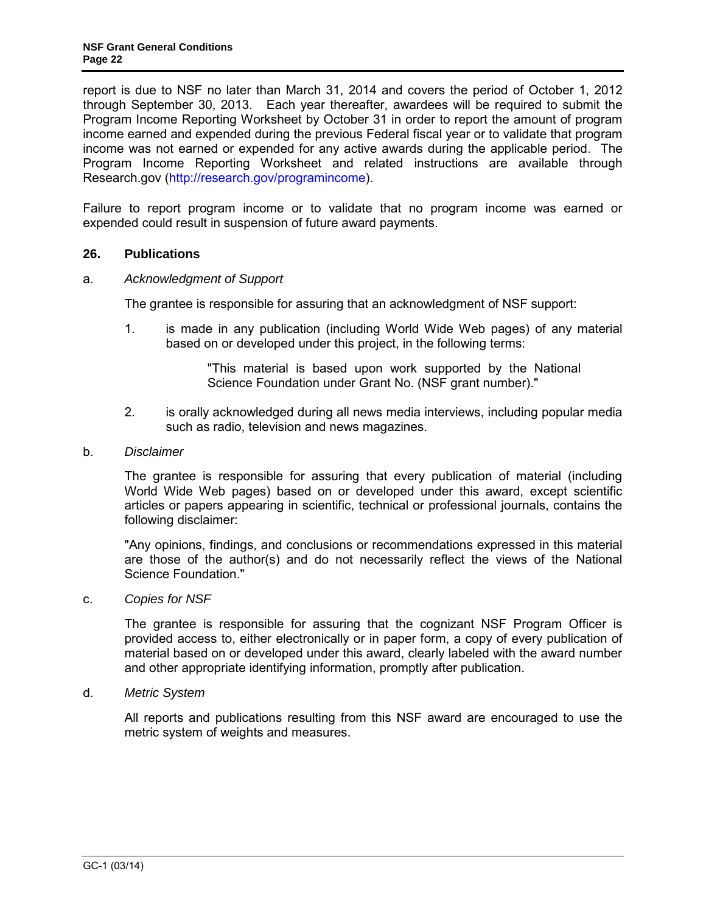report is due to NSF no later than March 31, 2014 and covers the period of October 1, 2012 through September 30, 2013. Each year thereafter, awardees will be required to submit the Program Income Reporting Worksheet by October 31 in order to report the amount of program income earned and expended during the previous Federal fiscal year or to validate that program income was not earned or expended for any active awards during the applicable period. The Program Income Reporting Worksheet and related instructions are available through Research.gov [\(http://research.gov/programincome\)](http://research.gov/programincome).

Failure to report program income or to validate that no program income was earned or expended could result in suspension of future award payments.

### <span id="page-21-0"></span>**26. Publications**

#### <span id="page-21-1"></span>a. *Acknowledgment of Support*

The grantee is responsible for assuring that an acknowledgment of NSF support:

1. is made in any publication (including World Wide Web pages) of any material based on or developed under this project, in the following terms:

> "This material is based upon work supported by the National Science Foundation under Grant No. (NSF grant number)."

2. is orally acknowledged during all news media interviews, including popular media such as radio, television and news magazines.

#### <span id="page-21-2"></span>b. *Disclaimer*

The grantee is responsible for assuring that every publication of material (including World Wide Web pages) based on or developed under this award, except scientific articles or papers appearing in scientific, technical or professional journals, contains the following disclaimer:

"Any opinions, findings, and conclusions or recommendations expressed in this material are those of the author(s) and do not necessarily reflect the views of the National Science Foundation."

<span id="page-21-3"></span>c. *Copies for NSF*

The grantee is responsible for assuring that the cognizant NSF Program Officer is provided access to, either electronically or in paper form, a copy of every publication of material based on or developed under this award, clearly labeled with the award number and other appropriate identifying information, promptly after publication.

<span id="page-21-4"></span>d. *Metric System*

All reports and publications resulting from this NSF award are encouraged to use the metric system of weights and measures.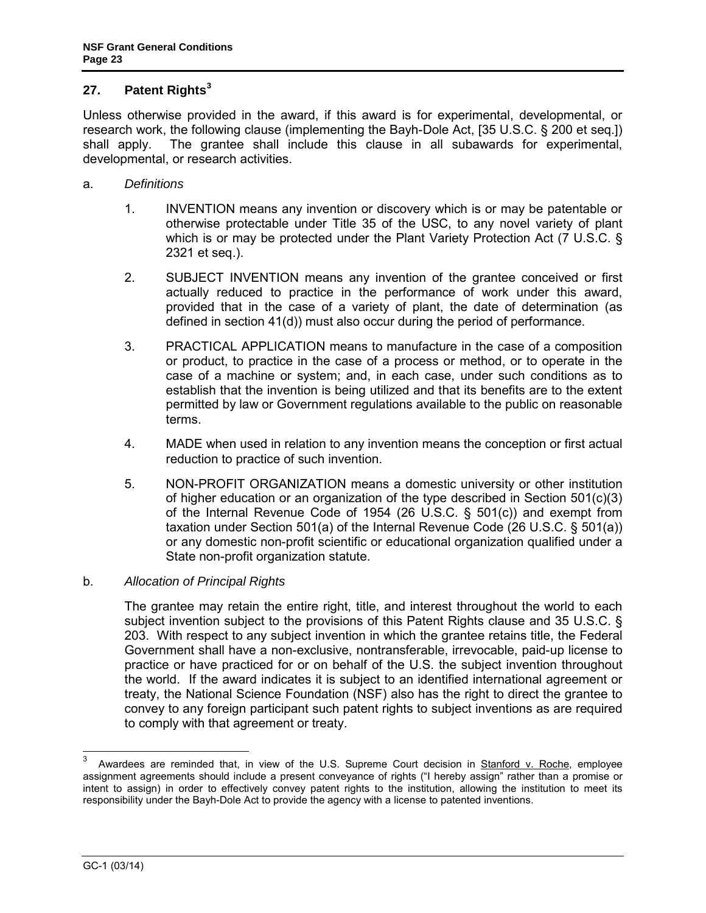# <span id="page-22-0"></span>**27. Patent Rights[3](#page-22-1)**

Unless otherwise provided in the award, if this award is for experimental, developmental, or research work, the following clause (implementing the Bayh-Dole Act, [\[35 U.S.C. § 200 et seq.](http://uscode.house.gov/download/pls/35T.txt)]) shall apply. The grantee shall include this clause in all subawards for experimental, developmental, or research activities.

- a. *Definitions*
	- 1. INVENTION means any invention or discovery which is or may be patentable or otherwise protectable under Title 35 of the USC, to any novel variety of plant which is or may be protected under the Plant Variety Protection Act [\(7 U.S.C. §](http://www.access.gpo.gov/uscode/title7/chapter57_.html)  [2321 et seq.](http://www.access.gpo.gov/uscode/title7/chapter57_.html)).
	- 2. SUBJECT INVENTION means any invention of the grantee conceived or first actually reduced to practice in the performance of work under this award, provided that in the case of a variety of plant, the date of determination (as defined in section 41(d)) must also occur during the period of performance.
	- 3. PRACTICAL APPLICATION means to manufacture in the case of a composition or product, to practice in the case of a process or method, or to operate in the case of a machine or system; and, in each case, under such conditions as to establish that the invention is being utilized and that its benefits are to the extent permitted by law or Government regulations available to the public on reasonable terms.
	- 4. MADE when used in relation to any invention means the conception or first actual reduction to practice of such invention.
	- 5. NON-PROFIT ORGANIZATION means a domestic university or other institution of higher education or an organization of the type described in Section 501(c)(3) of the Internal Revenue Code of 1954 [\(26 U.S.C. § 501\(c\)\)](http://frwebgate.access.gpo.gov/cgi-bin/getdoc.cgi?dbname=browse_usc&docid=Cite:+26USC501) and exempt from taxation under Section 501(a) of the Internal Revenue Code [\(26 U.S.C. § 501\(a\)\)](http://frwebgate.access.gpo.gov/cgi-bin/getdoc.cgi?dbname=browse_usc&docid=Cite:+26USC501) or any domestic non-profit scientific or educational organization qualified under a State non-profit organization statute.

# b. *Allocation of Principal Rights*

The grantee may retain the entire right, title, and interest throughout the world to each subject invention subject to the provisions of this Patent Rights clause and [35 U.S.C. §](http://frwebgate.access.gpo.gov/cgi-bin/getdoc.cgi?dbname=browse_usc&docid=Cite:+35USC203)  [203.](http://frwebgate.access.gpo.gov/cgi-bin/getdoc.cgi?dbname=browse_usc&docid=Cite:+35USC203) With respect to any subject invention in which the grantee retains title, the Federal Government shall have a non-exclusive, nontransferable, irrevocable, paid-up license to practice or have practiced for or on behalf of the U.S. the subject invention throughout the world. If the award indicates it is subject to an identified international agreement or treaty, the National Science Foundation (NSF) also has the right to direct the grantee to convey to any foreign participant such patent rights to subject inventions as are required to comply with that agreement or treaty.

<span id="page-22-1"></span> $\overline{3}$ Awardees are reminded that, in view of the U.S. Supreme Court decision in Stanford v. Roche, employee assignment agreements should include a present conveyance of rights ("I hereby assign" rather than a promise or intent to assign) in order to effectively convey patent rights to the institution, allowing the institution to meet its responsibility under the Bayh-Dole Act to provide the agency with a license to patented inventions.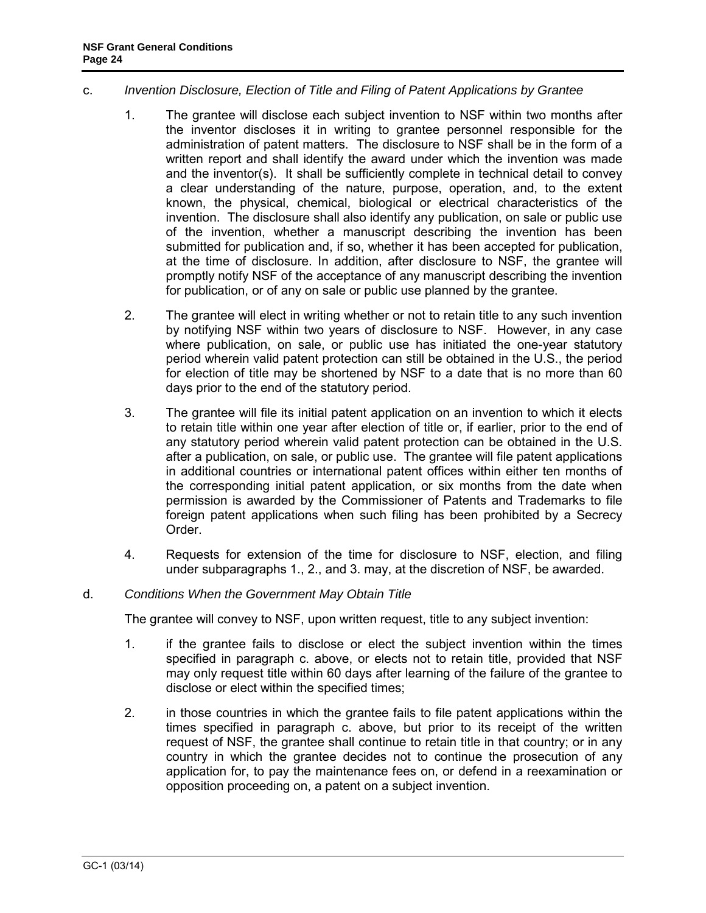#### c. *Invention Disclosure, Election of Title and Filing of Patent Applications by Grantee*

- 1. The grantee will disclose each subject invention to NSF within two months after the inventor discloses it in writing to grantee personnel responsible for the administration of patent matters. The disclosure to NSF shall be in the form of a written report and shall identify the award under which the invention was made and the inventor(s). It shall be sufficiently complete in technical detail to convey a clear understanding of the nature, purpose, operation, and, to the extent known, the physical, chemical, biological or electrical characteristics of the invention. The disclosure shall also identify any publication, on sale or public use of the invention, whether a manuscript describing the invention has been submitted for publication and, if so, whether it has been accepted for publication, at the time of disclosure. In addition, after disclosure to NSF, the grantee will promptly notify NSF of the acceptance of any manuscript describing the invention for publication, or of any on sale or public use planned by the grantee.
- 2. The grantee will elect in writing whether or not to retain title to any such invention by notifying NSF within two years of disclosure to NSF. However, in any case where publication, on sale, or public use has initiated the one-year statutory period wherein valid patent protection can still be obtained in the U.S., the period for election of title may be shortened by NSF to a date that is no more than 60 days prior to the end of the statutory period.
- 3. The grantee will file its initial patent application on an invention to which it elects to retain title within one year after election of title or, if earlier, prior to the end of any statutory period wherein valid patent protection can be obtained in the U.S. after a publication, on sale, or public use. The grantee will file patent applications in additional countries or international patent offices within either ten months of the corresponding initial patent application, or six months from the date when permission is awarded by the Commissioner of Patents and Trademarks to file foreign patent applications when such filing has been prohibited by a Secrecy Order.
- 4. Requests for extension of the time for disclosure to NSF, election, and filing under subparagraphs 1., 2., and 3. may, at the discretion of NSF, be awarded.

# d. *Conditions When the Government May Obtain Title*

The grantee will convey to NSF, upon written request, title to any subject invention:

- 1. if the grantee fails to disclose or elect the subject invention within the times specified in paragraph c. above, or elects not to retain title, provided that NSF may only request title within 60 days after learning of the failure of the grantee to disclose or elect within the specified times;
- 2. in those countries in which the grantee fails to file patent applications within the times specified in paragraph c. above, but prior to its receipt of the written request of NSF, the grantee shall continue to retain title in that country; or in any country in which the grantee decides not to continue the prosecution of any application for, to pay the maintenance fees on, or defend in a reexamination or opposition proceeding on, a patent on a subject invention.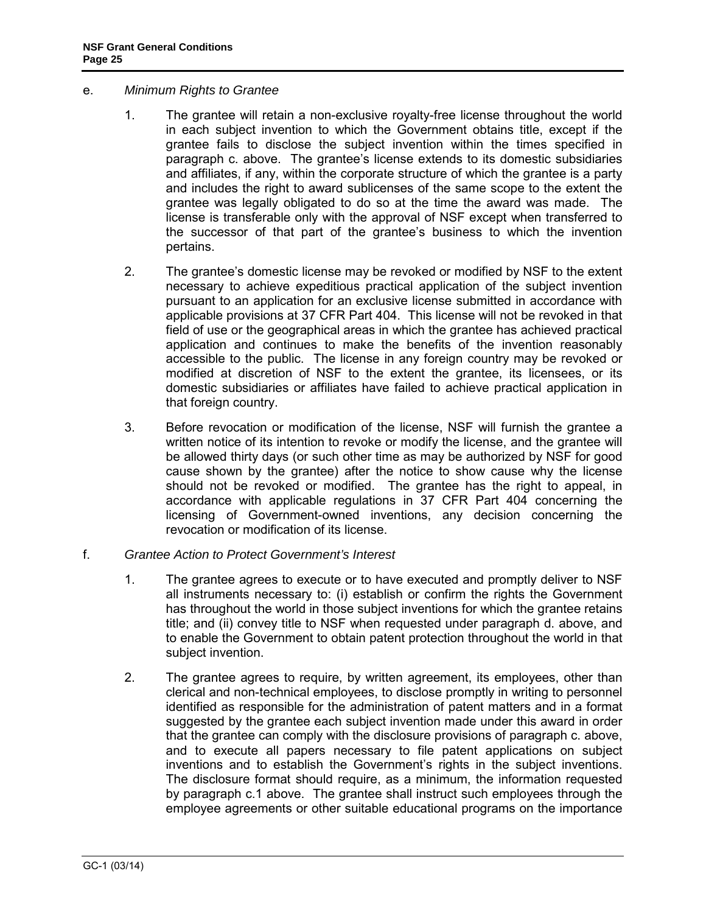- e. *Minimum Rights to Grantee*
	- 1. The grantee will retain a non-exclusive royalty-free license throughout the world in each subject invention to which the Government obtains title, except if the grantee fails to disclose the subject invention within the times specified in paragraph c. above. The grantee's license extends to its domestic subsidiaries and affiliates, if any, within the corporate structure of which the grantee is a party and includes the right to award sublicenses of the same scope to the extent the grantee was legally obligated to do so at the time the award was made. The license is transferable only with the approval of NSF except when transferred to the successor of that part of the grantee's business to which the invention pertains.
	- 2. The grantee's domestic license may be revoked or modified by NSF to the extent necessary to achieve expeditious practical application of the subject invention pursuant to an application for an exclusive license submitted in accordance with applicable provisions at [37 CFR Part 404.](http://www.access.gpo.gov/nara/cfr/waisidx_06/37cfr404_06.html) This license will not be revoked in that field of use or the geographical areas in which the grantee has achieved practical application and continues to make the benefits of the invention reasonably accessible to the public. The license in any foreign country may be revoked or modified at discretion of NSF to the extent the grantee, its licensees, or its domestic subsidiaries or affiliates have failed to achieve practical application in that foreign country.
	- 3. Before revocation or modification of the license, NSF will furnish the grantee a written notice of its intention to revoke or modify the license, and the grantee will be allowed thirty days (or such other time as may be authorized by NSF for good cause shown by the grantee) after the notice to show cause why the license should not be revoked or modified. The grantee has the right to appeal, in accordance with applicable regulations in [37 CFR Part 404](http://www.access.gpo.gov/nara/cfr/waisidx_06/37cfr404_06.html) concerning the licensing of Government-owned inventions, any decision concerning the revocation or modification of its license.
- f. *Grantee Action to Protect Government's Interest*
	- 1. The grantee agrees to execute or to have executed and promptly deliver to NSF all instruments necessary to: (i) establish or confirm the rights the Government has throughout the world in those subject inventions for which the grantee retains title; and (ii) convey title to NSF when requested under paragraph d. above, and to enable the Government to obtain patent protection throughout the world in that subject invention.
	- 2. The grantee agrees to require, by written agreement, its employees, other than clerical and non-technical employees, to disclose promptly in writing to personnel identified as responsible for the administration of patent matters and in a format suggested by the grantee each subject invention made under this award in order that the grantee can comply with the disclosure provisions of paragraph c. above, and to execute all papers necessary to file patent applications on subject inventions and to establish the Government's rights in the subject inventions. The disclosure format should require, as a minimum, the information requested by paragraph c.1 above. The grantee shall instruct such employees through the employee agreements or other suitable educational programs on the importance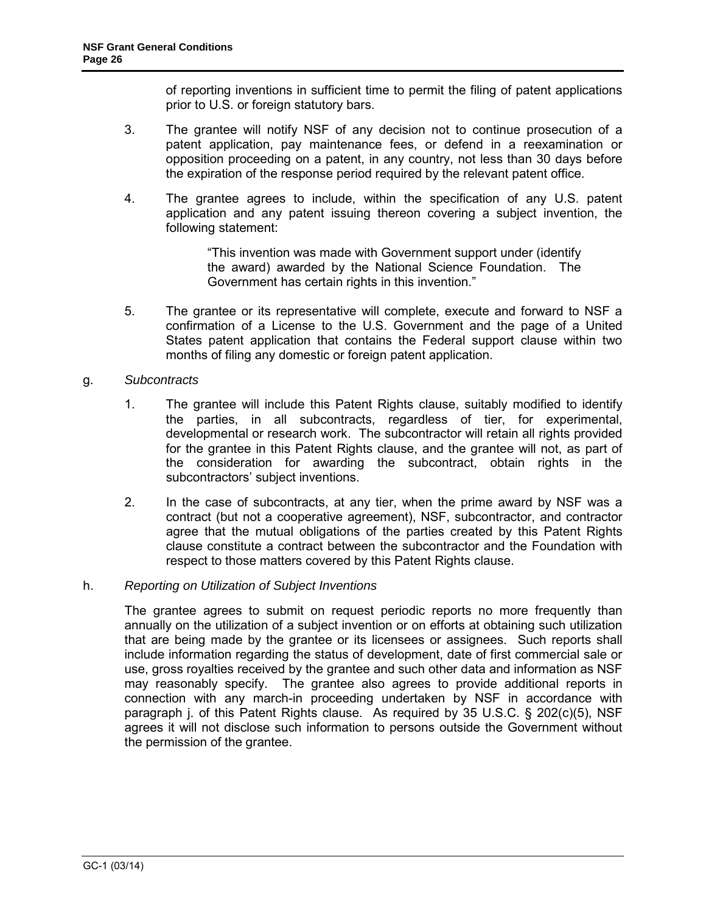of reporting inventions in sufficient time to permit the filing of patent applications prior to U.S. or foreign statutory bars.

- 3. The grantee will notify NSF of any decision not to continue prosecution of a patent application, pay maintenance fees, or defend in a reexamination or opposition proceeding on a patent, in any country, not less than 30 days before the expiration of the response period required by the relevant patent office.
- 4. The grantee agrees to include, within the specification of any U.S. patent application and any patent issuing thereon covering a subject invention, the following statement:

"This invention was made with Government support under (identify the award) awarded by the National Science Foundation. The Government has certain rights in this invention."

5. The grantee or its representative will complete, execute and forward to NSF a confirmation of a License to the U.S. Government and the page of a United States patent application that contains the Federal support clause within two months of filing any domestic or foreign patent application.

### g. *Subcontracts*

- 1. The grantee will include this Patent Rights clause, suitably modified to identify the parties, in all subcontracts, regardless of tier, for experimental, developmental or research work. The subcontractor will retain all rights provided for the grantee in this Patent Rights clause, and the grantee will not, as part of the consideration for awarding the subcontract, obtain rights in the subcontractors' subject inventions.
- 2. In the case of subcontracts, at any tier, when the prime award by NSF was a contract (but not a cooperative agreement), NSF, subcontractor, and contractor agree that the mutual obligations of the parties created by this Patent Rights clause constitute a contract between the subcontractor and the Foundation with respect to those matters covered by this Patent Rights clause.

#### h. *Reporting on Utilization of Subject Inventions*

The grantee agrees to submit on request periodic reports no more frequently than annually on the utilization of a subject invention or on efforts at obtaining such utilization that are being made by the grantee or its licensees or assignees. Such reports shall include information regarding the status of development, date of first commercial sale or use, gross royalties received by the grantee and such other data and information as NSF may reasonably specify. The grantee also agrees to provide additional reports in connection with any march-in proceeding undertaken by NSF in accordance with paragraph j. of this Patent Rights clause. As required by 35 [U.S.C. § 202\(c\)\(5\),](http://frwebgate.access.gpo.gov/cgi-bin/getdoc.cgi?dbname=browse_usc&docid=Cite:+35USC202) NSF agrees it will not disclose such information to persons outside the Government without the permission of the grantee.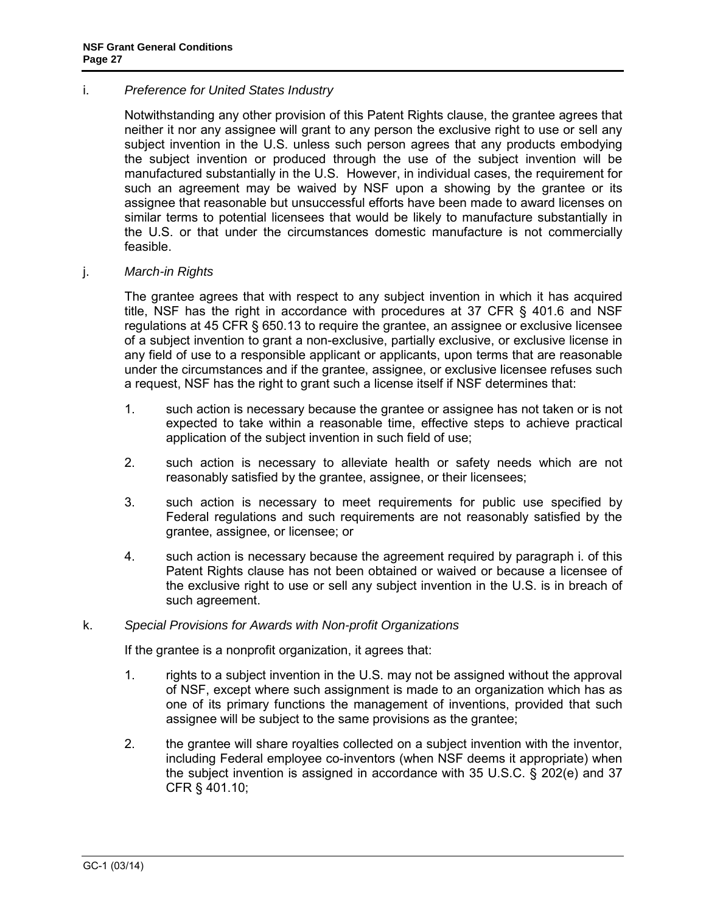#### i. *Preference for United States Industry*

Notwithstanding any other provision of this Patent Rights clause, the grantee agrees that neither it nor any assignee will grant to any person the exclusive right to use or sell any subject invention in the U.S. unless such person agrees that any products embodying the subject invention or produced through the use of the subject invention will be manufactured substantially in the U.S. However, in individual cases, the requirement for such an agreement may be waived by NSF upon a showing by the grantee or its assignee that reasonable but unsuccessful efforts have been made to award licenses on similar terms to potential licensees that would be likely to manufacture substantially in the U.S. or that under the circumstances domestic manufacture is not commercially feasible.

#### j. *March-in Rights*

The grantee agrees that with respect to any subject invention in which it has acquired title, NSF has the right in accordance with procedures at [37 CFR § 401.6](http://a257.g.akamaitech.net/7/257/2422/13nov20061500/edocket.access.gpo.gov/cfr_2006/julqtr/pdf/37cfr401.6.pdf) and NSF regulations at [45 CFR § 650.13](http://a257.g.akamaitech.net/7/257/2422/13nov20061500/edocket.access.gpo.gov/cfr_2006/octqtr/pdf/45cfr650.13.pdf) to require the grantee, an assignee or exclusive licensee of a subject invention to grant a non-exclusive, partially exclusive, or exclusive license in any field of use to a responsible applicant or applicants, upon terms that are reasonable under the circumstances and if the grantee, assignee, or exclusive licensee refuses such a request, NSF has the right to grant such a license itself if NSF determines that:

- 1. such action is necessary because the grantee or assignee has not taken or is not expected to take within a reasonable time, effective steps to achieve practical application of the subject invention in such field of use;
- 2. such action is necessary to alleviate health or safety needs which are not reasonably satisfied by the grantee, assignee, or their licensees;
- 3. such action is necessary to meet requirements for public use specified by Federal regulations and such requirements are not reasonably satisfied by the grantee, assignee, or licensee; or
- 4. such action is necessary because the agreement required by paragraph i. of this Patent Rights clause has not been obtained or waived or because a licensee of the exclusive right to use or sell any subject invention in the U.S. is in breach of such agreement.

#### k. *Special Provisions for Awards with Non-profit Organizations*

If the grantee is a nonprofit organization, it agrees that:

- 1. rights to a subject invention in the U.S. may not be assigned without the approval of NSF, except where such assignment is made to an organization which has as one of its primary functions the management of inventions, provided that such assignee will be subject to the same provisions as the grantee;
- 2. the grantee will share royalties collected on a subject invention with the inventor, including Federal employee co-inventors (when NSF deems it appropriate) when the subject invention is assigned in accordance with [35 U.S.C. § 202\(e\)](http://frwebgate.access.gpo.gov/cgi-bin/getdoc.cgi?dbname=browse_usc&docid=Cite:+35USC202) and [37](http://a257.g.akamaitech.net/7/257/2422/13nov20061500/edocket.access.gpo.gov/cfr_2006/julqtr/pdf/37cfr401.10.pdf)  [CFR § 401.10;](http://a257.g.akamaitech.net/7/257/2422/13nov20061500/edocket.access.gpo.gov/cfr_2006/julqtr/pdf/37cfr401.10.pdf)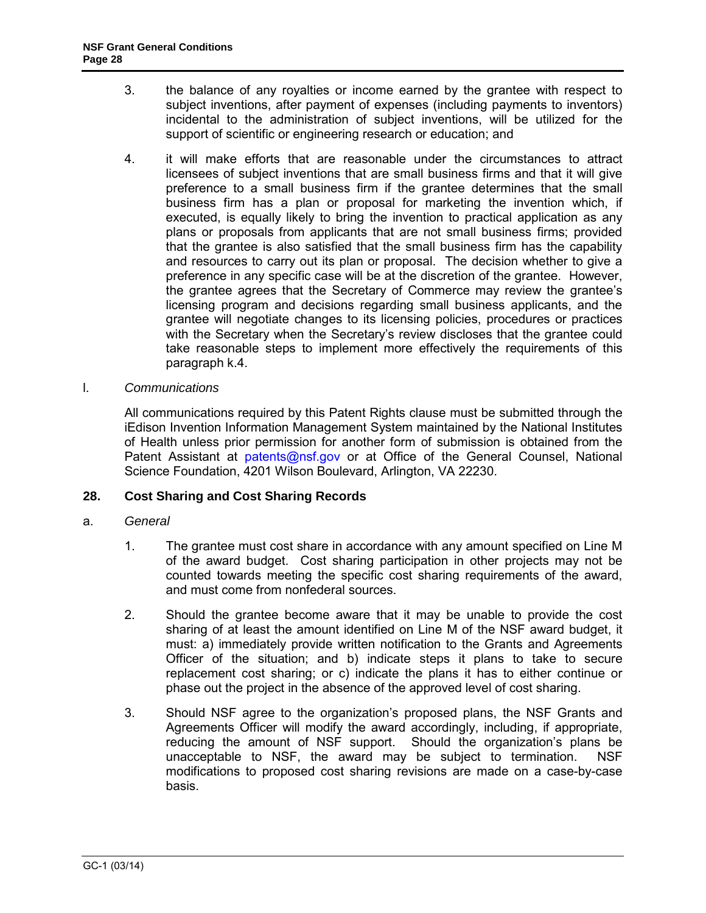- 3. the balance of any royalties or income earned by the grantee with respect to subject inventions, after payment of expenses (including payments to inventors) incidental to the administration of subject inventions, will be utilized for the support of scientific or engineering research or education; and
- 4. it will make efforts that are reasonable under the circumstances to attract licensees of subject inventions that are small business firms and that it will give preference to a small business firm if the grantee determines that the small business firm has a plan or proposal for marketing the invention which, if executed, is equally likely to bring the invention to practical application as any plans or proposals from applicants that are not small business firms; provided that the grantee is also satisfied that the small business firm has the capability and resources to carry out its plan or proposal. The decision whether to give a preference in any specific case will be at the discretion of the grantee. However, the grantee agrees that the Secretary of Commerce may review the grantee's licensing program and decisions regarding small business applicants, and the grantee will negotiate changes to its licensing policies, procedures or practices with the Secretary when the Secretary's review discloses that the grantee could take reasonable steps to implement more effectively the requirements of this paragraph k.4.
- l. *Communications*

All communications required by this Patent Rights clause must be submitted through the iEdison Invention Information Management System maintained by the National Institutes of Health unless prior permission for another form of submission is obtained from the Patent Assistant at [patents@nsf.gov](mailto:patents@nsf.gov) or at Office of the General Counsel, National Science Foundation, 4201 Wilson Boulevard, Arlington, VA 22230.

#### <span id="page-27-0"></span>**28. Cost Sharing and Cost Sharing Records**

- a. *General*
	- 1. The grantee must cost share in accordance with any amount specified on Line M of the award budget. Cost sharing participation in other projects may not be counted towards meeting the specific cost sharing requirements of the award, and must come from nonfederal sources.
	- 2. Should the grantee become aware that it may be unable to provide the cost sharing of at least the amount identified on Line M of the NSF award budget, it must: a) immediately provide written notification to the Grants and Agreements Officer of the situation; and b) indicate steps it plans to take to secure replacement cost sharing; or c) indicate the plans it has to either continue or phase out the project in the absence of the approved level of cost sharing.
	- 3. Should NSF agree to the organization's proposed plans, the NSF Grants and Agreements Officer will modify the award accordingly, including, if appropriate, reducing the amount of NSF support. Should the organization's plans be unacceptable to NSF, the award may be subject to termination. NSF modifications to proposed cost sharing revisions are made on a case-by-case basis.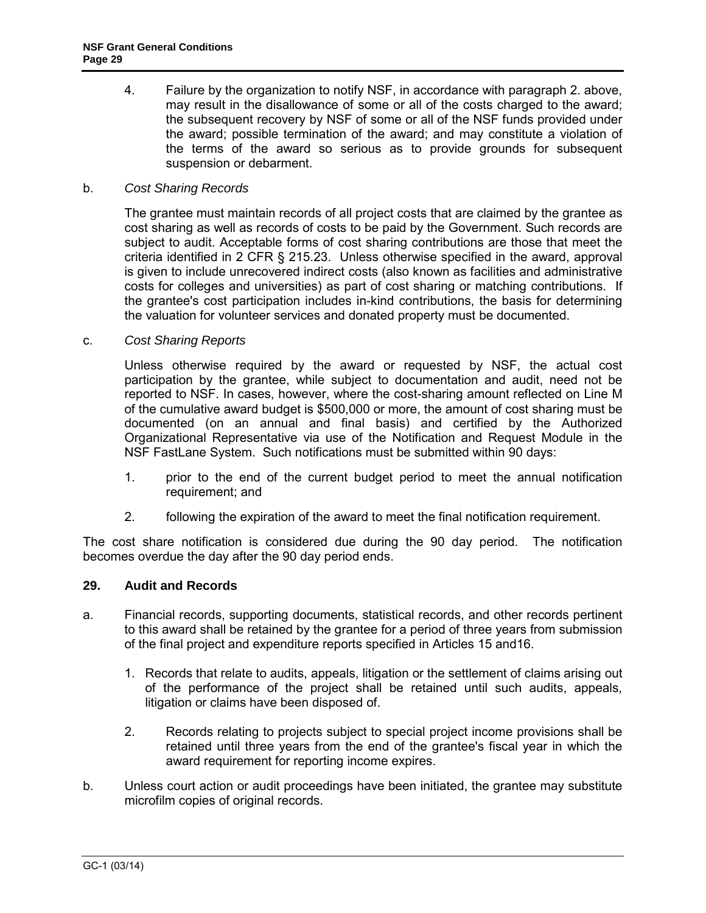4. Failure by the organization to notify NSF, in accordance with paragraph 2. above, may result in the disallowance of some or all of the costs charged to the award; the subsequent recovery by NSF of some or all of the NSF funds provided under the award; possible termination of the award; and may constitute a violation of the terms of the award so serious as to provide grounds for subsequent suspension or debarment.

### b. *Cost Sharing Records*

The grantee must maintain records of all project costs that are claimed by the grantee as cost sharing as well as records of costs to be paid by the Government. Such records are subject to audit. Acceptable forms of cost sharing contributions are those that meet the criteria identified in [2 CFR § 215.23.](http://a257.g.akamaitech.net/7/257/2422/15mar20071500/edocket.access.gpo.gov/cfr_2007/janqtr/pdf/2cfr215.23.pdf) Unless otherwise specified in the award, approval is given to include unrecovered indirect costs (also known as facilities and administrative costs for colleges and universities) as part of cost sharing or matching contributions. If the grantee's cost participation includes in-kind contributions, the basis for determining the valuation for volunteer services and donated property must be documented.

#### c. *Cost Sharing Reports*

Unless otherwise required by the award or requested by NSF, the actual cost participation by the grantee, while subject to documentation and audit, need not be reported to NSF. In cases, however, where the cost-sharing amount reflected on Line M of the cumulative award budget is \$500,000 or more, the amount of cost sharing must be documented (on an annual and final basis) and certified by the Authorized Organizational Representative via use of the Notification and Request Module in the NSF FastLane System. Such notifications must be submitted within 90 days:

- 1. prior to the end of the current budget period to meet the annual notification requirement; and
- 2. following the expiration of the award to meet the final notification requirement.

The cost share notification is considered due during the 90 day period. The notification becomes overdue the day after the 90 day period ends.

#### <span id="page-28-0"></span>**29. Audit and Records**

- a. Financial records, supporting documents, statistical records, and other records pertinent to this award shall be retained by the grantee for a period of three years from submission of the final project and expenditure reports specified in [Articles 15](#page-11-1) an[d16](#page-12-2).
	- 1. Records that relate to audits, appeals, litigation or the settlement of claims arising out of the performance of the project shall be retained until such audits, appeals, litigation or claims have been disposed of.
	- 2. Records relating to projects subject to special project income provisions shall be retained until three years from the end of the grantee's fiscal year in which the award requirement for reporting income expires.
- b. Unless court action or audit proceedings have been initiated, the grantee may substitute microfilm copies of original records.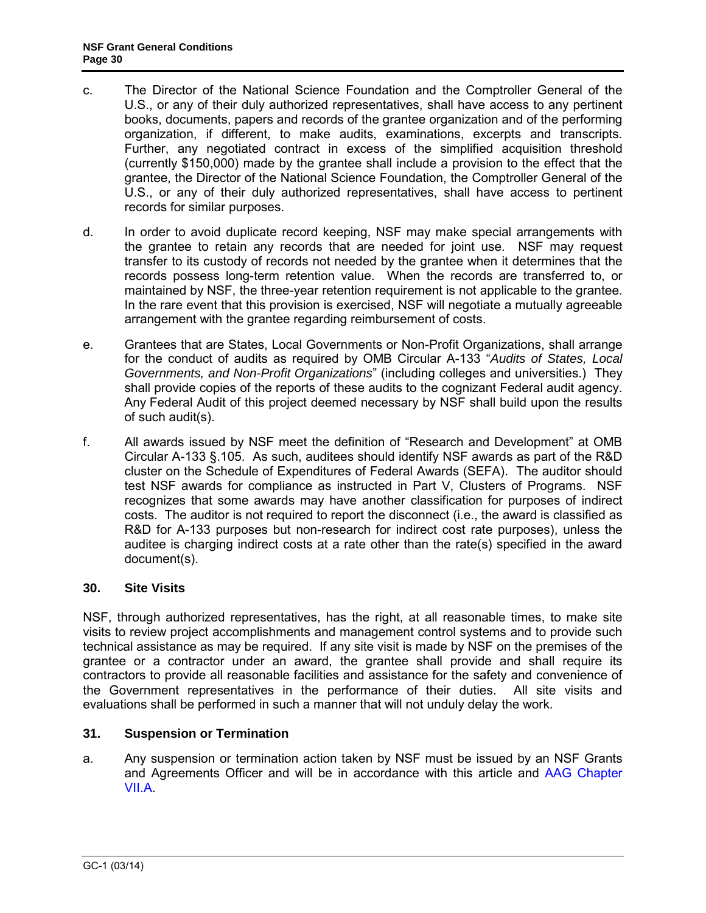- c. The Director of the National Science Foundation and the Comptroller General of the U.S., or any of their duly authorized representatives, shall have access to any pertinent books, documents, papers and records of the grantee organization and of the performing organization, if different, to make audits, examinations, excerpts and transcripts. Further, any negotiated contract in excess of the simplified acquisition threshold (currently \$150,000) made by the grantee shall include a provision to the effect that the grantee, the Director of the National Science Foundation, the Comptroller General of the U.S., or any of their duly authorized representatives, shall have access to pertinent records for similar purposes.
- d. In order to avoid duplicate record keeping, NSF may make special arrangements with the grantee to retain any records that are needed for joint use. NSF may request transfer to its custody of records not needed by the grantee when it determines that the records possess long-term retention value. When the records are transferred to, or maintained by NSF, the three-year retention requirement is not applicable to the grantee. In the rare event that this provision is exercised, NSF will negotiate a mutually agreeable arrangement with the grantee regarding reimbursement of costs.
- e. Grantees that are States, Local Governments or Non-Profit Organizations, shall arrange for the conduct of audits as required by [OMB Circular A-133](http://www.whitehouse.gov/omb/circulars/a133/a133.html) "*Audits of States, Local Governments, and Non-Profit Organizations*" (including colleges and universities.) They shall provide copies of the reports of these audits to the cognizant Federal audit agency. Any Federal Audit of this project deemed necessary by NSF shall build upon the results of such audit(s).
- f. All awards issued by NSF meet the definition of "Research and Development" at OMB Circular A-133 §.105. As such, auditees should identify NSF awards as part of the R&D cluster on the Schedule of Expenditures of Federal Awards (SEFA). The auditor should test NSF awards for compliance as instructed in Part V, Clusters of Programs. NSF recognizes that some awards may have another classification for purposes of indirect costs. The auditor is not required to report the disconnect (i.e., the award is classified as R&D for A-133 purposes but non-research for indirect cost rate purposes), unless the auditee is charging indirect costs at a rate other than the rate(s) specified in the award document(s).

# <span id="page-29-0"></span>**30. Site Visits**

NSF, through authorized representatives, has the right, at all reasonable times, to make site visits to review project accomplishments and management control systems and to provide such technical assistance as may be required. If any site visit is made by NSF on the premises of the grantee or a contractor under an award, the grantee shall provide and shall require its contractors to provide all reasonable facilities and assistance for the safety and convenience of the Government representatives in the performance of their duties. All site visits and evaluations shall be performed in such a manner that will not unduly delay the work.

# <span id="page-29-1"></span>**31. Suspension or Termination**

a. Any suspension or termination action taken by NSF must be issued by an NSF Grants and Agreements Officer and will be in accordance with this article and AAG Chapter [VII.A.](http://www.nsf.gov/pubs/policydocs/pappguide/nsf14001/aag_7.jsp#VIIA)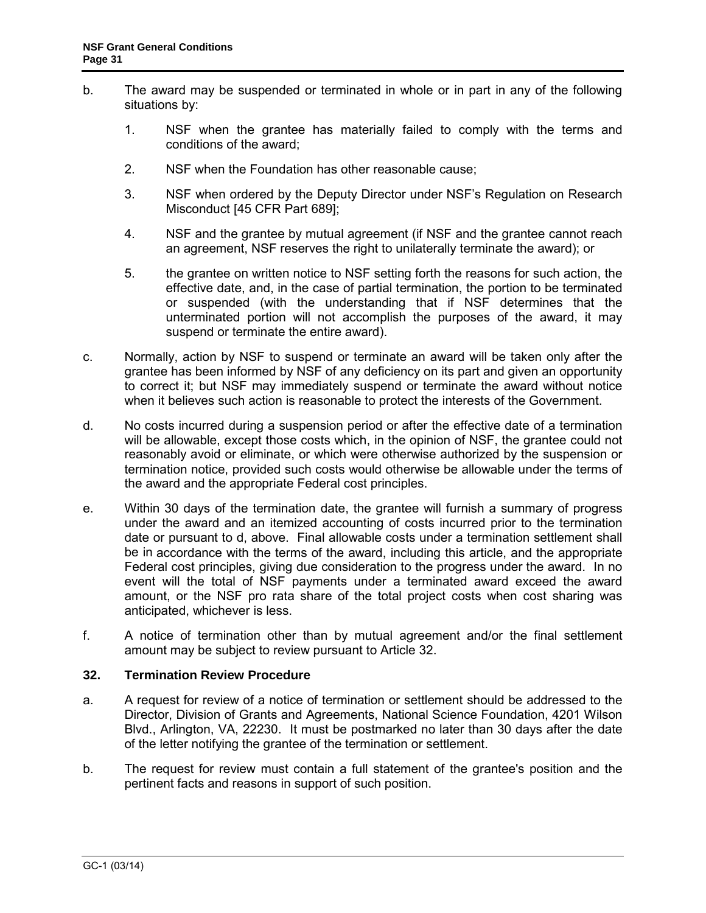- b. The award may be suspended or terminated in whole or in part in any of the following situations by:
	- 1. NSF when the grantee has materially failed to comply with the terms and conditions of the award;
	- 2. NSF when the Foundation has other reasonable cause;
	- 3. NSF when ordered by the Deputy Director under NSF's Regulation on Research Misconduct [\[45 CFR Part 689\]](http://www.access.gpo.gov/nara/cfr/waisidx_06/45cfr689_06.html);
	- 4. NSF and the grantee by mutual agreement (if NSF and the grantee cannot reach an agreement, NSF reserves the right to unilaterally terminate the award); or
	- 5. the grantee on written notice to NSF setting forth the reasons for such action, the effective date, and, in the case of partial termination, the portion to be terminated or suspended (with the understanding that if NSF determines that the unterminated portion will not accomplish the purposes of the award, it may suspend or terminate the entire award).
- c. Normally, action by NSF to suspend or terminate an award will be taken only after the grantee has been informed by NSF of any deficiency on its part and given an opportunity to correct it; but NSF may immediately suspend or terminate the award without notice when it believes such action is reasonable to protect the interests of the Government.
- d. No costs incurred during a suspension period or after the effective date of a termination will be allowable, except those costs which, in the opinion of NSF, the grantee could not reasonably avoid or eliminate, or which were otherwise authorized by the suspension or termination notice, provided such costs would otherwise be allowable under the terms of the award and the appropriate Federal cost principles.
- e. Within 30 days of the termination date, the grantee will furnish a summary of progress under the award and an itemized accounting of costs incurred prior to the termination date or pursuant to d, above. Final allowable costs under a termination settlement shall be in accordance with the terms of the award, including this article, and the appropriate Federal cost principles, giving due consideration to the progress under the award. In no event will the total of NSF payments under a terminated award exceed the award amount, or the NSF pro rata share of the total project costs when cost sharing was anticipated, whichever is less.
- f. A notice of termination other than by mutual agreement and/or the final settlement amount may be subject to review pursuant to [Article 3](#page-30-0)2.

#### <span id="page-30-0"></span>**32. Termination Review Procedure**

- a. A request for review of a notice of termination or settlement should be addressed to the Director, Division of Grants and Agreements, National Science Foundation, 4201 Wilson Blvd., Arlington, VA, 22230. It must be postmarked no later than 30 days after the date of the letter notifying the grantee of the termination or settlement.
- b. The request for review must contain a full statement of the grantee's position and the pertinent facts and reasons in support of such position.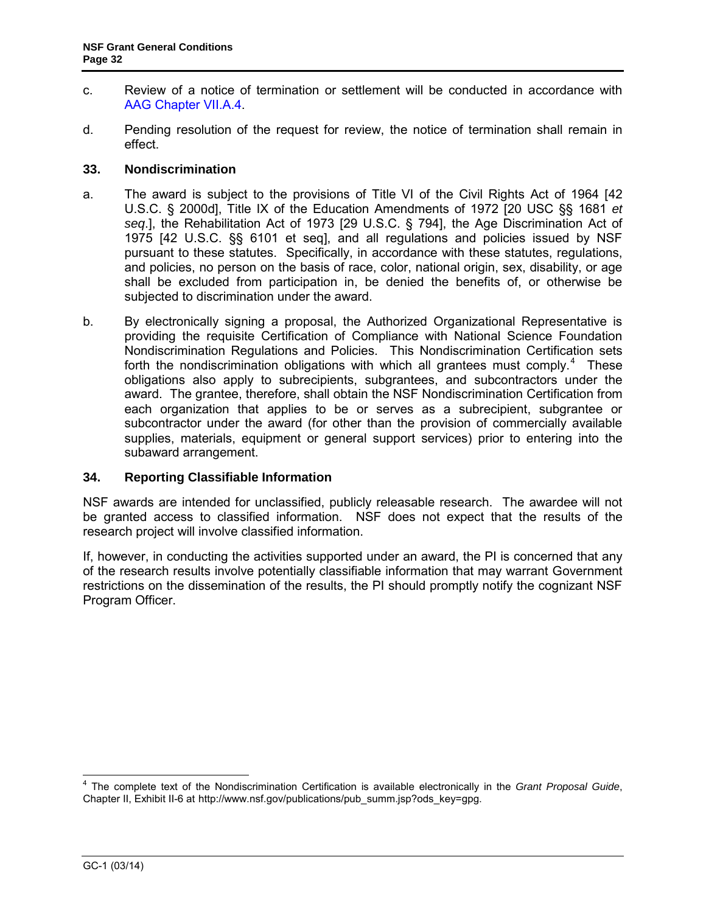- c. Review of a notice of termination or settlement will be conducted in accordance with [AAG Chapter VII.A.4.](http://www.nsf.gov/pubs/policydocs/pappguide/nsf14001/aag_7.jsp#VIIA4)
- d. Pending resolution of the request for review, the notice of termination shall remain in effect.

### <span id="page-31-0"></span>**33. Nondiscrimination**

- a. The award is subject to the provisions of Title VI of the Civil Rights Act of 1964 [\[42](http://frwebgate.access.gpo.gov/cgi-bin/getdoc.cgi?dbname=browse_usc&docid=Cite:+42USC2000d)  [U.S.C. § 2000d\]](http://frwebgate.access.gpo.gov/cgi-bin/getdoc.cgi?dbname=browse_usc&docid=Cite:+42USC2000d), Title IX of the Education Amendments of 1972 [20 USC §§ 1681 *et seq*.], the Rehabilitation Act of 1973 [\[29 U.S.C. § 794\]](http://frwebgate.access.gpo.gov/cgi-bin/getdoc.cgi?dbname=browse_usc&docid=Cite:+29USC794), the Age Discrimination Act of 1975 [\[42 U.S.C. §§ 6101 et seq\]](http://www.access.gpo.gov/uscode/title42/chapter76_.html), and all regulations and policies issued by NSF pursuant to these statutes. Specifically, in accordance with these statutes, regulations, and policies, no person on the basis of race, color, national origin, sex, disability, or age shall be excluded from participation in, be denied the benefits of, or otherwise be subjected to discrimination under the award.
- b. By electronically signing a proposal, the Authorized Organizational Representative is providing the requisite Certification of Compliance with National Science Foundation Nondiscrimination Regulations and Policies. This Nondiscrimination Certification sets forth the nondiscrimination obligations with which all grantees must comply.<sup>[4](#page-31-3)</sup> These obligations also apply to subrecipients, subgrantees, and subcontractors under the award. The grantee, therefore, shall obtain the NSF Nondiscrimination Certification from each organization that applies to be or serves as a subrecipient, subgrantee or subcontractor under the award (for other than the provision of commercially available supplies, materials, equipment or general support services) prior to entering into the subaward arrangement.

#### <span id="page-31-1"></span>**34. Reporting Classifiable Information**

NSF awards are intended for unclassified, publicly releasable research. The awardee will not be granted access to classified information. NSF does not expect that the results of the research project will involve classified information.

<span id="page-31-2"></span>If, however, in conducting the activities supported under an award, the PI is concerned that any of the research results involve potentially classifiable information that may warrant Government restrictions on the dissemination of the results, the PI should promptly notify the cognizant NSF Program Officer.

<span id="page-31-3"></span> $\overline{\phantom{a}}$ <sup>4</sup> The complete text of the Nondiscrimination Certification is available electronically in the *Grant Proposal Guide*, Chapter II, Exhibit II-6 at http://www.nsf.gov/publications/pub\_summ.jsp?ods\_key=gpg.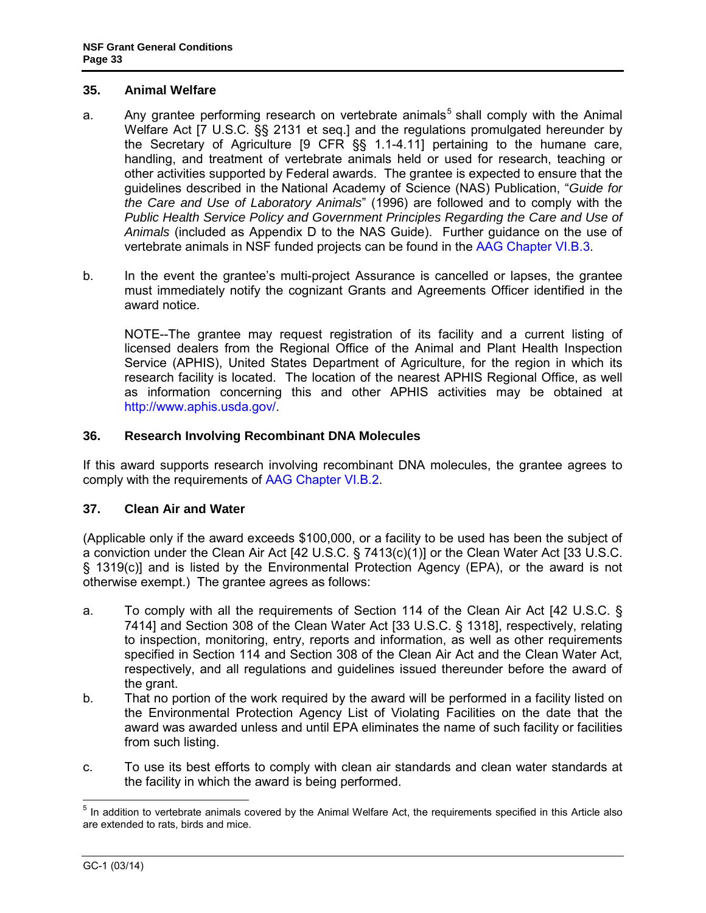### **35. Animal Welfare**

- a. Any grantee performing research on vertebrate animals<sup>[5](#page-32-2)</sup> shall comply with the Animal Welfare Act [\[7 U.S.C. §§ 2131 et seq.](http://www.access.gpo.gov/uscode/title7/chapter54_.html)] and the regulations promulgated hereunder by the Secretary of Agriculture [\[9 CFR §§ 1.1-4.11\]](http://www.access.gpo.gov/nara/cfr/waisidx_07/9cfrv1_07.html) pertaining to the humane care, handling, and treatment of vertebrate animals held or used for research, teaching or other activities supported by Federal awards. The grantee is expected to ensure that the guidelines described in the National Academy of Science (NAS) Publication, "*[Guide for](http://www.nap.edu/readingroom/books/labrats/)  [the Care and Use of Laboratory Animals](http://www.nap.edu/readingroom/books/labrats/)*" (1996) are followed and to comply with the *Public Health Service Policy and Government Principles Regarding the Care and Use of Animals* (included as Appendix D to the NAS Guide). Further guidance on the use of vertebrate animals in NSF funded projects can be found in the [AAG Chapter VI.B.3.](http://www.nsf.gov/pubs/policydocs/pappguide/nsf14001/aag_6.jsp#VIB3)
- b. In the event the grantee's multi-project Assurance is cancelled or lapses, the grantee must immediately notify the cognizant Grants and Agreements Officer identified in the award notice.

NOTE--The grantee may request registration of its facility and a current listing of licensed dealers from the Regional Office of the Animal and Plant Health Inspection Service (APHIS), United States Department of Agriculture, for the region in which its research facility is located. The location of the nearest APHIS Regional Office, as well as information concerning this and other APHIS activities may be obtained at [http://www.aphis.usda.gov/.](http://www.aphis.usda.gov/)

# <span id="page-32-0"></span>**36. Research Involving Recombinant DNA Molecules**

If this award supports research involving recombinant DNA molecules, the grantee agrees to comply with the requirements of [AAG Chapter VI.B.2.](http://www.nsf.gov/pubs/policydocs/pappguide/nsf14001/aag_6.jsp#VIB2)

# <span id="page-32-1"></span>**37. Clean Air and Water**

(Applicable only if the award exceeds \$100,000, or a facility to be used has been the subject of a conviction under the Clean Air Act [\[42 U.S.C. § 7413\(c\)\(1\)\]](http://frwebgate.access.gpo.gov/cgi-bin/getdoc.cgi?dbname=browse_usc&docid=Cite:+42USC7413) or the Clean Water Act [\[33 U.S.C.](http://frwebgate.access.gpo.gov/cgi-bin/getdoc.cgi?dbname=browse_usc&docid=Cite:+33USC1319)  [§ 1319\(c\)](http://frwebgate.access.gpo.gov/cgi-bin/getdoc.cgi?dbname=browse_usc&docid=Cite:+33USC1319)] and is listed by the Environmental Protection Agency (EPA), or the award is not otherwise exempt.) The grantee agrees as follows:

- a. To comply with all the requirements of Section 114 of the Clean Air Act [\[42 U.S.C. §](http://frwebgate.access.gpo.gov/cgi-bin/getdoc.cgi?dbname=browse_usc&docid=Cite:+42USC7414)  [7414\]](http://frwebgate.access.gpo.gov/cgi-bin/getdoc.cgi?dbname=browse_usc&docid=Cite:+42USC7414) and Section 308 of the Clean Water Act [\[33 U.S.C. § 1318\]](http://frwebgate.access.gpo.gov/cgi-bin/getdoc.cgi?dbname=browse_usc&docid=Cite:+33USC1318), respectively, relating to inspection, monitoring, entry, reports and information, as well as other requirements specified in Section 114 and Section 308 of the Clean Air Act and the Clean Water Act, respectively, and all regulations and guidelines issued thereunder before the award of the grant.
- b. That no portion of the work required by the award will be performed in a facility listed on the Environmental Protection Agency List of Violating Facilities on the date that the award was awarded unless and until EPA eliminates the name of such facility or facilities from such listing.
- c. To use its best efforts to comply with clean air standards and clean water standards at the facility in which the award is being performed.

<span id="page-32-2"></span> $\overline{a}$  $<sup>5</sup>$  In addition to vertebrate animals covered by the Animal Welfare Act, the requirements specified in this Article also</sup> are extended to rats, birds and mice.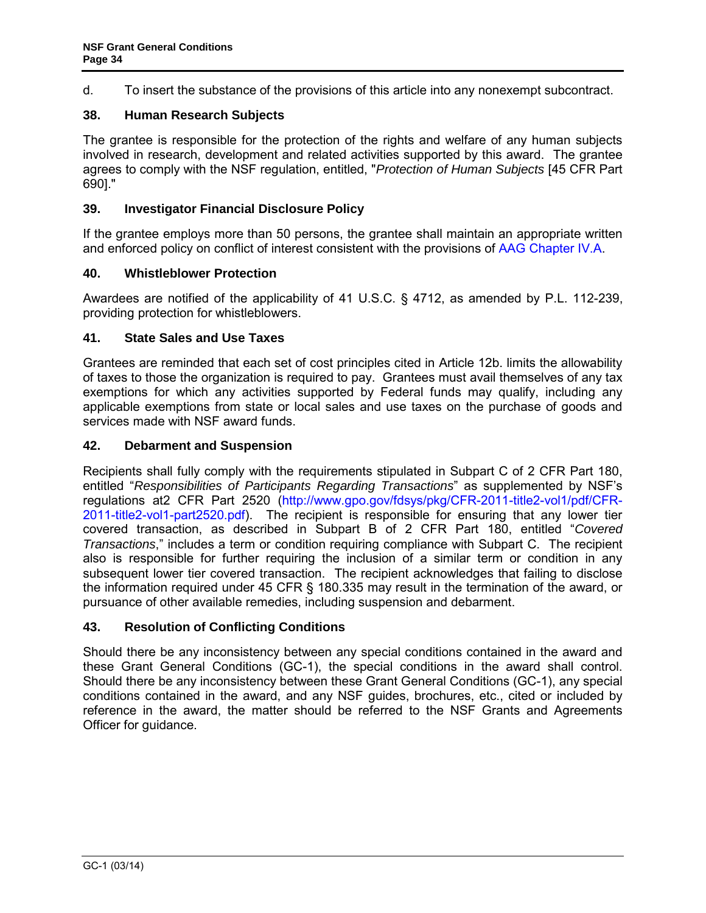<span id="page-33-6"></span>d. To insert the substance of the provisions of this article into any nonexempt subcontract.

# <span id="page-33-0"></span>**38. Human Research Subjects**

The grantee is responsible for the protection of the rights and welfare of any human subjects involved in research, development and related activities supported by this award. The grantee agrees to comply with the NSF regulation, entitled, "*Protection of Human Subjects* [\[45 CFR Part](http://www.access.gpo.gov/nara/cfr/waisidx_06/45cfr690_06.html)  [690\].](http://www.access.gpo.gov/nara/cfr/waisidx_06/45cfr690_06.html)"

# <span id="page-33-1"></span>**39. Investigator Financial Disclosure Policy**

If the grantee employs more than 50 persons, the grantee shall maintain an appropriate written and enforced policy on conflict of interest consistent with the provisions of [AAG Chapter IV.A.](http://www.nsf.gov/pubs/policydocs/pappguide/nsf14001/aag_4.jsp#IVA)

### **40. Whistleblower Protection**

Awardees are notified of the applicability of 41 U.S.C. § 4712, as amended by P.L. 112-239, providing protection for whistleblowers.

### <span id="page-33-2"></span>**41. State Sales and Use Taxes**

Grantees are reminded that each set of cost principles cited in [Article 12b.](#page-10-2) limits the allowability of taxes to those the organization is required to pay. Grantees must avail themselves of any tax exemptions for which any activities supported by Federal funds may qualify, including any applicable exemptions from state or local sales and use taxes on the purchase of goods and services made with NSF award funds.

### <span id="page-33-3"></span>**42. Debarment and Suspension**

Recipients shall fully comply with the requirements stipulated in [Subpart C of 2 CFR Part 180,](http://www.whitehouse.gov/omb/fedreg/2005/083105_debarment.pdf) entitled "*Responsibilities of Participants Regarding Transactions*" as supplemented by NSF's regulations at2 CFR Part 2520 [\(http://www.gpo.gov/fdsys/pkg/CFR-2011-title2-vol1/pdf/CFR-](http://www.gpo.gov/fdsys/pkg/CFR-2011-title2-vol1/pdf/CFR-2011-title2-vol1-part2520.pdf)[2011-title2-vol1-part2520.pdf\)](http://www.gpo.gov/fdsys/pkg/CFR-2011-title2-vol1/pdf/CFR-2011-title2-vol1-part2520.pdf). The recipient is responsible for ensuring that any lower tier covered transaction, as described in [Subpart B of 2 CFR Part 180,](http://www.whitehouse.gov/omb/fedreg/2005/083105_debarment.pdf) entitled "*Covered Transactions*," includes a term or condition requiring compliance with Subpart C. The recipient also is responsible for further requiring the inclusion of a similar term or condition in any subsequent lower tier covered transaction. The recipient acknowledges that failing to disclose the information required under [45 CFR § 180.335](http://www.nsf.gov/oig/2_CFR_PART180.pdf) may result in the termination of the award, or pursuance of other available remedies, including suspension and debarment.

# <span id="page-33-4"></span>**43. Resolution of Conflicting Conditions**

<span id="page-33-5"></span>Should there be any inconsistency between any special conditions contained in the award and these Grant General Conditions (GC-1), the special conditions in the award shall control. Should there be any inconsistency between these Grant General Conditions (GC-1), any special conditions contained in the award, and any NSF guides, brochures, etc., cited or included by reference in the award, the matter should be referred to the NSF Grants and Agreements Officer for guidance.